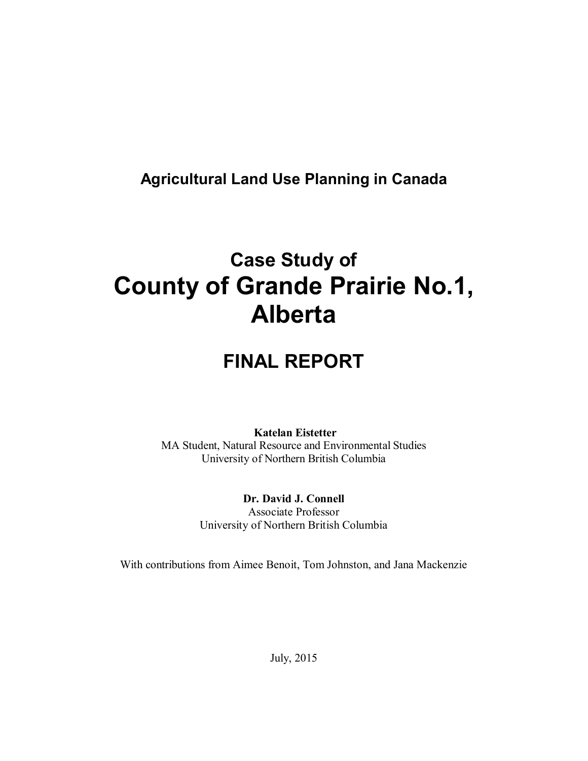# **Agricultural Land Use Planning in Canada**

# **Case Study of County of Grande Prairie No.1, Alberta**

# **FINAL REPORT**

# **Katelan Eistetter**

MA Student, Natural Resource and Environmental Studies University of Northern British Columbia

> **Dr. David J. Connell** Associate Professor University of Northern British Columbia

With contributions from Aimee Benoit, Tom Johnston, and Jana Mackenzie

July, 2015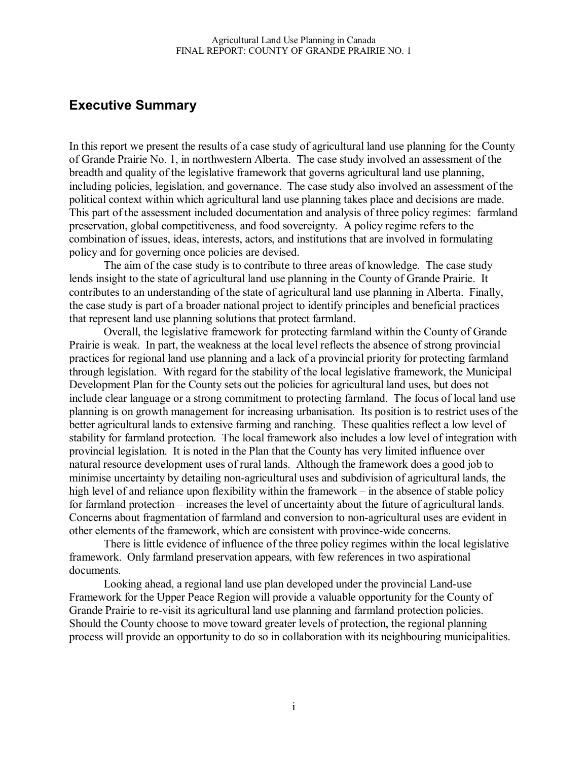# **Executive Summary**

In this report we present the results of a case study of agricultural land use planning for the County of Grande Prairie No. 1, in northwestern Alberta. The case study involved an assessment of the breadth and quality of the legislative framework that governs agricultural land use planning, including policies, legislation, and governance. The case study also involved an assessment of the political context within which agricultural land use planning takes place and decisions are made. This part of the assessment included documentation and analysis of three policy regimes: farmland preservation, global competitiveness, and food sovereignty. A policy regime refers to the combination of issues, ideas, interests, actors, and institutions that are involved in formulating policy and for governing once policies are devised.

The aim of the case study is to contribute to three areas of knowledge. The case study lends insight to the state of agricultural land use planning in the County of Grande Prairie. It contributes to an understanding of the state of agricultural land use planning in Alberta. Finally, the case study is part of a broader national project to identify principles and beneficial practices that represent land use planning solutions that protect farmland.

Overall, the legislative framework for protecting farmland within the County of Grande Prairie is weak. In part, the weakness at the local level reflects the absence of strong provincial practices for regional land use planning and a lack of a provincial priority for protecting farmland through legislation. With regard for the stability of the local legislative framework, the Municipal Development Plan for the County sets out the policies for agricultural land uses, but does not include clear language or a strong commitment to protecting farmland. The focus of local land use planning is on growth management for increasing urbanisation. Its position is to restrict uses of the better agricultural lands to extensive farming and ranching. These qualities reflect a low level of stability for farmland protection. The local framework also includes a low level of integration with provincial legislation. It is noted in the Plan that the County has very limited influence over natural resource development uses of rural lands. Although the framework does a good job to minimise uncertainty by detailing non-agricultural uses and subdivision of agricultural lands, the high level of and reliance upon flexibility within the framework – in the absence of stable policy for farmland protection – increases the level of uncertainty about the future of agricultural lands. Concerns about fragmentation of farmland and conversion to non-agricultural uses are evident in other elements of the framework, which are consistent with province-wide concerns.

There is little evidence of influence of the three policy regimes within the local legislative framework. Only farmland preservation appears, with few references in two aspirational documents.

Looking ahead, a regional land use plan developed under the provincial Land-use Framework for the Upper Peace Region will provide a valuable opportunity for the County of Grande Prairie to re-visit its agricultural land use planning and farmland protection policies. Should the County choose to move toward greater levels of protection, the regional planning process will provide an opportunity to do so in collaboration with its neighbouring municipalities.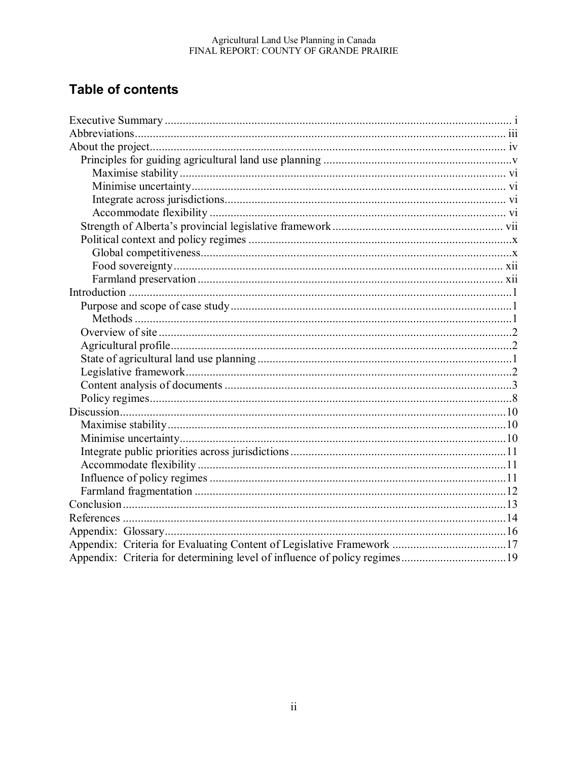# Agricultural Land Use Planning in Canada<br>FINAL REPORT: COUNTY OF GRANDE PRAIRIE

# **Table of contents**

| Appendix: Criteria for Evaluating Content of Legislative Framework 17 |  |
|-----------------------------------------------------------------------|--|
|                                                                       |  |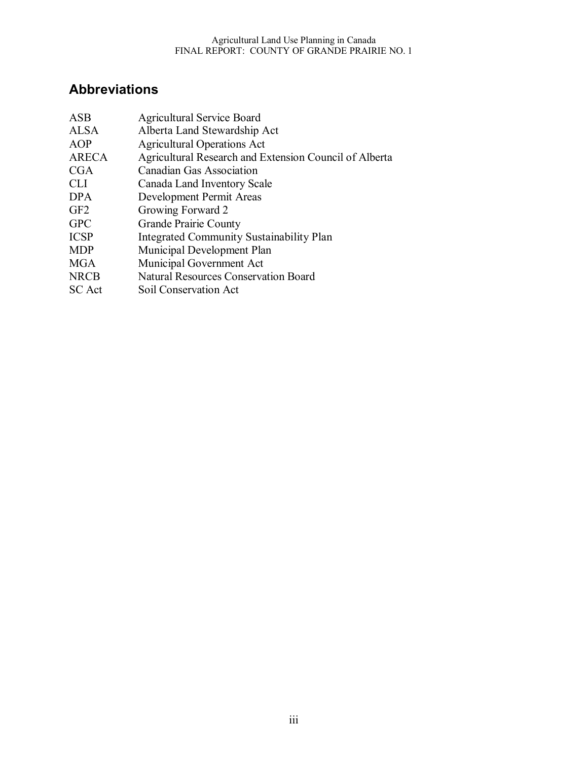# **Abbreviations**

| <b>ASB</b>      | <b>Agricultural Service Board</b>                      |
|-----------------|--------------------------------------------------------|
| <b>ALSA</b>     | Alberta Land Stewardship Act                           |
| AOP             | <b>Agricultural Operations Act</b>                     |
| <b>ARECA</b>    | Agricultural Research and Extension Council of Alberta |
| <b>CGA</b>      | Canadian Gas Association                               |
| <b>CLI</b>      | Canada Land Inventory Scale                            |
| <b>DPA</b>      | Development Permit Areas                               |
| GF <sub>2</sub> | Growing Forward 2                                      |
| <b>GPC</b>      | <b>Grande Prairie County</b>                           |
| <b>ICSP</b>     | Integrated Community Sustainability Plan               |
| <b>MDP</b>      | Municipal Development Plan                             |
| <b>MGA</b>      | Municipal Government Act                               |
| <b>NRCB</b>     | <b>Natural Resources Conservation Board</b>            |
| <b>SC</b> Act   | Soil Conservation Act                                  |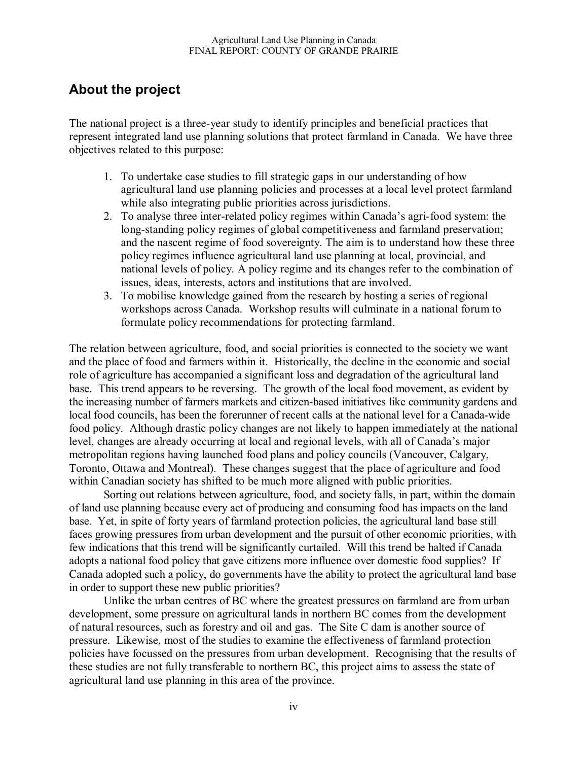# **About the project**

The national project is a three-year study to identify principles and beneficial practices that represent integrated land use planning solutions that protect farmland in Canada. We have three objectives related to this purpose:

- 1. To undertake case studies to fill strategic gaps in our understanding of how agricultural land use planning policies and processes at a local level protect farmland while also integrating public priorities across jurisdictions.
- 2. To analyse three inter-related policy regimes within Canada's agri-food system: the long-standing policy regimes of global competitiveness and farmland preservation; and the nascent regime of food sovereignty. The aim is to understand how these three policy regimes influence agricultural land use planning at local, provincial, and national levels of policy. A policy regime and its changes refer to the combination of issues, ideas, interests, actors and institutions that are involved.
- 3. To mobilise knowledge gained from the research by hosting a series of regional workshops across Canada. Workshop results will culminate in a national forum to formulate policy recommendations for protecting farmland.

The relation between agriculture, food, and social priorities is connected to the society we want and the place of food and farmers within it. Historically, the decline in the economic and social role of agriculture has accompanied a significant loss and degradation of the agricultural land base. This trend appears to be reversing. The growth of the local food movement, as evident by the increasing number of farmers markets and citizen-based initiatives like community gardens and local food councils, has been the forerunner of recent calls at the national level for a Canada-wide food policy. Although drastic policy changes are not likely to happen immediately at the national level, changes are already occurring at local and regional levels, with all of Canada's major metropolitan regions having launched food plans and policy councils (Vancouver, Calgary, Toronto, Ottawa and Montreal). These changes suggest that the place of agriculture and food within Canadian society has shifted to be much more aligned with public priorities.

Sorting out relations between agriculture, food, and society falls, in part, within the domain of land use planning because every act of producing and consuming food has impacts on the land base. Yet, in spite of forty years of farmland protection policies, the agricultural land base still faces growing pressures from urban development and the pursuit of other economic priorities, with few indications that this trend will be significantly curtailed. Will this trend be halted if Canada adopts a national food policy that gave citizens more influence over domestic food supplies? If Canada adopted such a policy, do governments have the ability to protect the agricultural land base in order to support these new public priorities?

Unlike the urban centres of BC where the greatest pressures on farmland are from urban development, some pressure on agricultural lands in northern BC comes from the development of natural resources, such as forestry and oil and gas. The Site C dam is another source of pressure. Likewise, most of the studies to examine the effectiveness of farmland protection policies have focussed on the pressures from urban development. Recognising that the results of these studies are not fully transferable to northern BC, this project aims to assess the state of agricultural land use planning in this area of the province.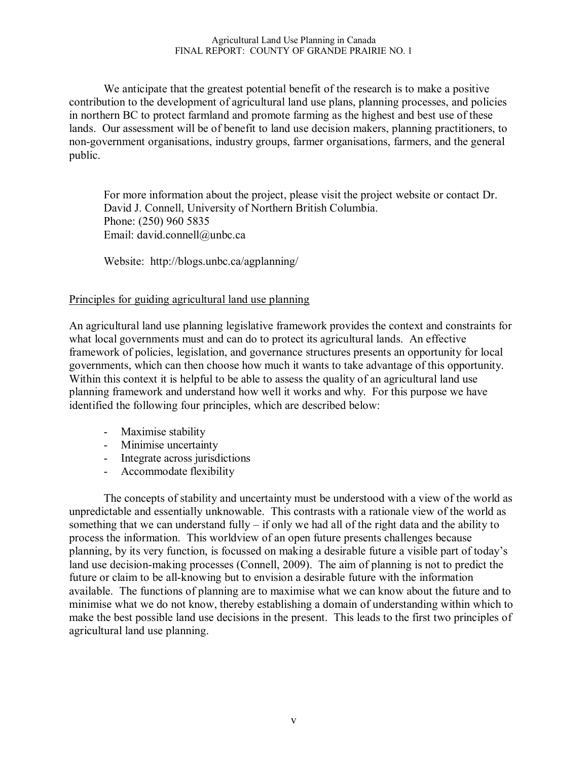We anticipate that the greatest potential benefit of the research is to make a positive contribution to the development of agricultural land use plans, planning processes, and policies in northern BC to protect farmland and promote farming as the highest and best use of these lands. Our assessment will be of benefit to land use decision makers, planning practitioners, to non-government organisations, industry groups, farmer organisations, farmers, and the general public.

For more information about the project, please visit the project website or contact Dr. David J. Connell, University of Northern British Columbia. Phone: (250) 960 5835 Email: david.connell@unbc.ca

Website: http://blogs.unbc.ca/agplanning/

### Principles for guiding agricultural land use planning

An agricultural land use planning legislative framework provides the context and constraints for what local governments must and can do to protect its agricultural lands. An effective framework of policies, legislation, and governance structures presents an opportunity for local governments, which can then choose how much it wants to take advantage of this opportunity. Within this context it is helpful to be able to assess the quality of an agricultural land use planning framework and understand how well it works and why. For this purpose we have identified the following four principles, which are described below:

- Maximise stability
- Minimise uncertainty
- Integrate across jurisdictions
- Accommodate flexibility

The concepts of stability and uncertainty must be understood with a view of the world as unpredictable and essentially unknowable. This contrasts with a rationale view of the world as something that we can understand fully  $-$  if only we had all of the right data and the ability to process the information. This worldview of an open future presents challenges because planning, by its very function, is focussed on making a desirable future a visible part of today's land use decision-making processes (Connell, 2009). The aim of planning is not to predict the future or claim to be all-knowing but to envision a desirable future with the information available. The functions of planning are to maximise what we can know about the future and to minimise what we do not know, thereby establishing a domain of understanding within which to make the best possible land use decisions in the present. This leads to the first two principles of agricultural land use planning.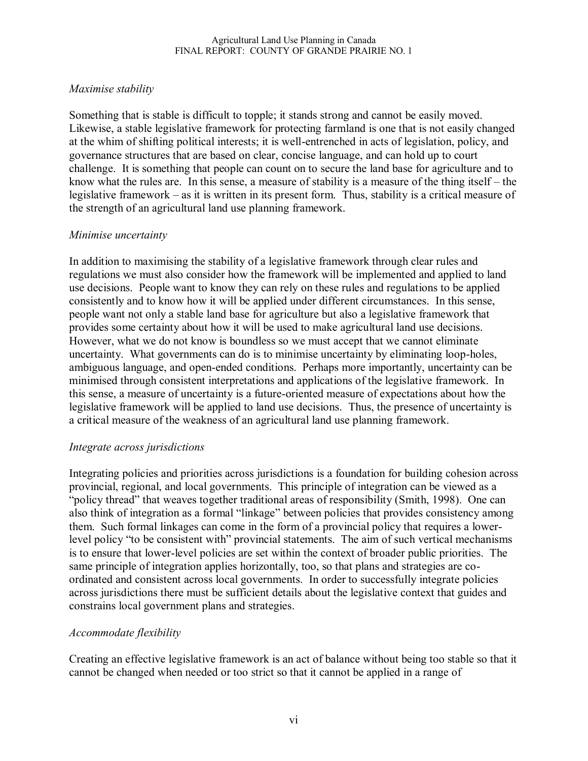## *Maximise stability*

Something that is stable is difficult to topple; it stands strong and cannot be easily moved. Likewise, a stable legislative framework for protecting farmland is one that is not easily changed at the whim of shifting political interests; it is well-entrenched in acts of legislation, policy, and governance structures that are based on clear, concise language, and can hold up to court challenge. It is something that people can count on to secure the land base for agriculture and to know what the rules are. In this sense, a measure of stability is a measure of the thing itself – the legislative framework – as it is written in its present form. Thus, stability is a critical measure of the strength of an agricultural land use planning framework.

### *Minimise uncertainty*

In addition to maximising the stability of a legislative framework through clear rules and regulations we must also consider how the framework will be implemented and applied to land use decisions. People want to know they can rely on these rules and regulations to be applied consistently and to know how it will be applied under different circumstances. In this sense, people want not only a stable land base for agriculture but also a legislative framework that provides some certainty about how it will be used to make agricultural land use decisions. However, what we do not know is boundless so we must accept that we cannot eliminate uncertainty. What governments can do is to minimise uncertainty by eliminating loop-holes, ambiguous language, and open-ended conditions. Perhaps more importantly, uncertainty can be minimised through consistent interpretations and applications of the legislative framework. In this sense, a measure of uncertainty is a future-oriented measure of expectations about how the legislative framework will be applied to land use decisions. Thus, the presence of uncertainty is a critical measure of the weakness of an agricultural land use planning framework.

### *Integrate across jurisdictions*

Integrating policies and priorities across jurisdictions is a foundation for building cohesion across provincial, regional, and local governments. This principle of integration can be viewed as a "policy thread" that weaves together traditional areas of responsibility (Smith, 1998). One can also think of integration as a formal "linkage" between policies that provides consistency among them. Such formal linkages can come in the form of a provincial policy that requires a lowerlevel policy "to be consistent with" provincial statements. The aim of such vertical mechanisms is to ensure that lower-level policies are set within the context of broader public priorities. The same principle of integration applies horizontally, too, so that plans and strategies are coordinated and consistent across local governments. In order to successfully integrate policies across jurisdictions there must be sufficient details about the legislative context that guides and constrains local government plans and strategies.

# *Accommodate flexibility*

Creating an effective legislative framework is an act of balance without being too stable so that it cannot be changed when needed or too strict so that it cannot be applied in a range of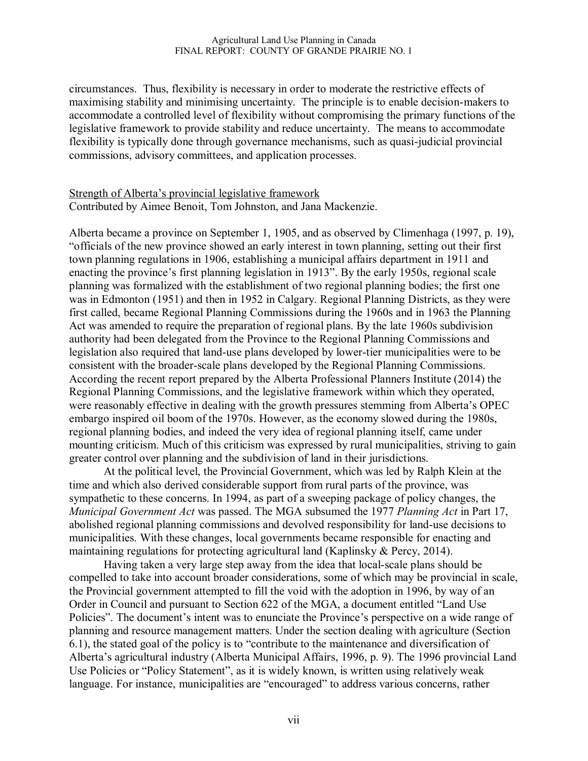circumstances. Thus, flexibility is necessary in order to moderate the restrictive effects of maximising stability and minimising uncertainty. The principle is to enable decision-makers to accommodate a controlled level of flexibility without compromising the primary functions of the legislative framework to provide stability and reduce uncertainty. The means to accommodate flexibility is typically done through governance mechanisms, such as quasi-judicial provincial commissions, advisory committees, and application processes.

### Strength of Alberta's provincial legislative framework Contributed by Aimee Benoit, Tom Johnston, and Jana Mackenzie.

Alberta became a province on September 1, 1905, and as observed by Climenhaga (1997, p. 19), "officials of the new province showed an early interest in town planning, setting out their first town planning regulations in 1906, establishing a municipal affairs department in 1911 and enacting the province's first planning legislation in 1913". By the early 1950s, regional scale planning was formalized with the establishment of two regional planning bodies; the first one was in Edmonton (1951) and then in 1952 in Calgary. Regional Planning Districts, as they were first called, became Regional Planning Commissions during the 1960s and in 1963 the Planning Act was amended to require the preparation of regional plans. By the late 1960s subdivision authority had been delegated from the Province to the Regional Planning Commissions and legislation also required that land-use plans developed by lower-tier municipalities were to be consistent with the broader-scale plans developed by the Regional Planning Commissions. According the recent report prepared by the Alberta Professional Planners Institute (2014) the Regional Planning Commissions, and the legislative framework within which they operated, were reasonably effective in dealing with the growth pressures stemming from Alberta's OPEC embargo inspired oil boom of the 1970s. However, as the economy slowed during the 1980s, regional planning bodies, and indeed the very idea of regional planning itself, came under mounting criticism. Much of this criticism was expressed by rural municipalities, striving to gain greater control over planning and the subdivision of land in their jurisdictions.

At the political level, the Provincial Government, which was led by Ralph Klein at the time and which also derived considerable support from rural parts of the province, was sympathetic to these concerns. In 1994, as part of a sweeping package of policy changes, the *Municipal Government Act* was passed. The MGA subsumed the 1977 *Planning Act* in Part 17, abolished regional planning commissions and devolved responsibility for land-use decisions to municipalities. With these changes, local governments became responsible for enacting and maintaining regulations for protecting agricultural land (Kaplinsky & Percy, 2014).

Having taken a very large step away from the idea that local-scale plans should be compelled to take into account broader considerations, some of which may be provincial in scale, the Provincial government attempted to fill the void with the adoption in 1996, by way of an Order in Council and pursuant to Section 622 of the MGA, a document entitled "Land Use Policies". The document's intent was to enunciate the Province's perspective on a wide range of planning and resource management matters. Under the section dealing with agriculture (Section 6.1), the stated goal of the policy is to "contribute to the maintenance and diversification of Alberta's agricultural industry (Alberta Municipal Affairs, 1996, p. 9). The 1996 provincial Land Use Policies or "Policy Statement", as it is widely known, is written using relatively weak language. For instance, municipalities are "encouraged" to address various concerns, rather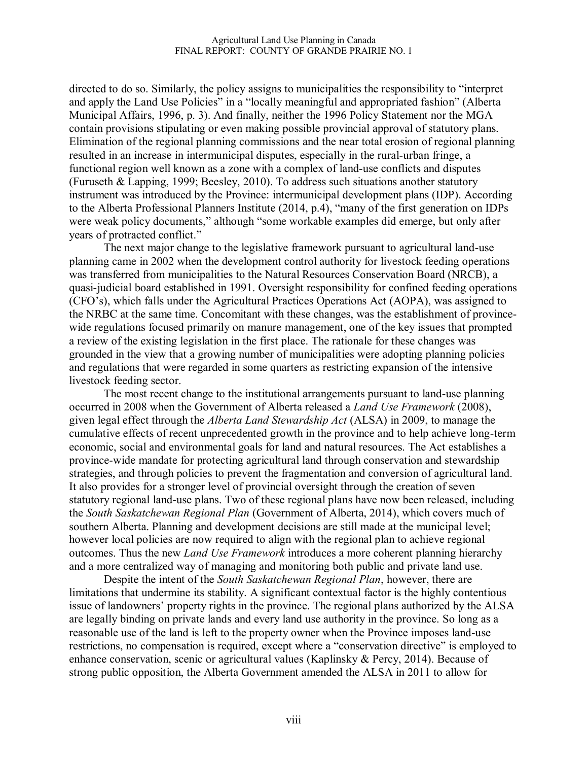directed to do so. Similarly, the policy assigns to municipalities the responsibility to "interpret and apply the Land Use Policies" in a "locally meaningful and appropriated fashion" (Alberta Municipal Affairs, 1996, p. 3). And finally, neither the 1996 Policy Statement nor the MGA contain provisions stipulating or even making possible provincial approval of statutory plans. Elimination of the regional planning commissions and the near total erosion of regional planning resulted in an increase in intermunicipal disputes, especially in the rural-urban fringe, a functional region well known as a zone with a complex of land-use conflicts and disputes (Furuseth & Lapping, 1999; Beesley, 2010). To address such situations another statutory instrument was introduced by the Province: intermunicipal development plans (IDP). According to the Alberta Professional Planners Institute (2014, p.4), "many of the first generation on IDPs were weak policy documents," although "some workable examples did emerge, but only after years of protracted conflict."

The next major change to the legislative framework pursuant to agricultural land-use planning came in 2002 when the development control authority for livestock feeding operations was transferred from municipalities to the Natural Resources Conservation Board (NRCB), a quasi-judicial board established in 1991. Oversight responsibility for confined feeding operations (CFO's), which falls under the Agricultural Practices Operations Act (AOPA), was assigned to the NRBC at the same time. Concomitant with these changes, was the establishment of provincewide regulations focused primarily on manure management, one of the key issues that prompted a review of the existing legislation in the first place. The rationale for these changes was grounded in the view that a growing number of municipalities were adopting planning policies and regulations that were regarded in some quarters as restricting expansion of the intensive livestock feeding sector.

The most recent change to the institutional arrangements pursuant to land-use planning occurred in 2008 when the Government of Alberta released a *Land Use Framework* (2008), given legal effect through the *Alberta Land Stewardship Act* (ALSA) in 2009, to manage the cumulative effects of recent unprecedented growth in the province and to help achieve long-term economic, social and environmental goals for land and natural resources. The Act establishes a province-wide mandate for protecting agricultural land through conservation and stewardship strategies, and through policies to prevent the fragmentation and conversion of agricultural land. It also provides for a stronger level of provincial oversight through the creation of seven statutory regional land-use plans. Two of these regional plans have now been released, including the *South Saskatchewan Regional Plan* (Government of Alberta, 2014), which covers much of southern Alberta. Planning and development decisions are still made at the municipal level; however local policies are now required to align with the regional plan to achieve regional outcomes. Thus the new *Land Use Framework* introduces a more coherent planning hierarchy and a more centralized way of managing and monitoring both public and private land use.

Despite the intent of the *South Saskatchewan Regional Plan*, however, there are limitations that undermine its stability. A significant contextual factor is the highly contentious issue of landowners' property rights in the province. The regional plans authorized by the ALSA are legally binding on private lands and every land use authority in the province. So long as a reasonable use of the land is left to the property owner when the Province imposes land-use restrictions, no compensation is required, except where a "conservation directive" is employed to enhance conservation, scenic or agricultural values (Kaplinsky & Percy, 2014). Because of strong public opposition, the Alberta Government amended the ALSA in 2011 to allow for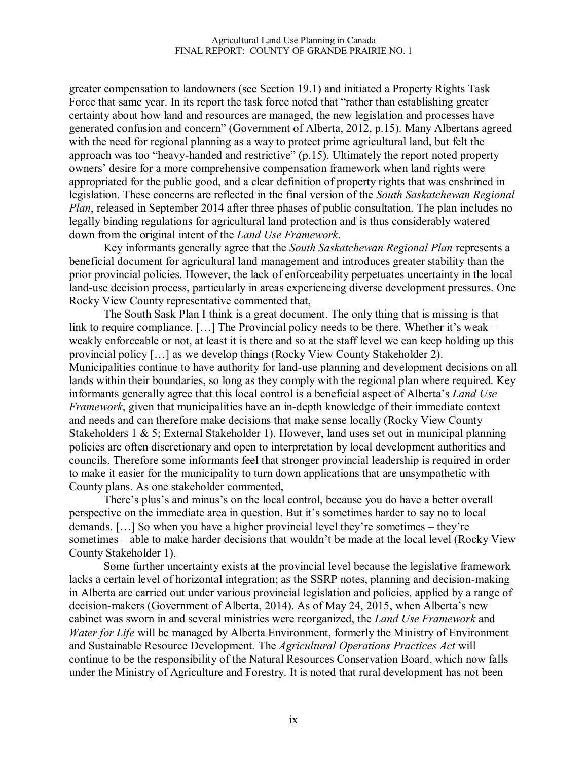greater compensation to landowners (see Section 19.1) and initiated a Property Rights Task Force that same year. In its report the task force noted that "rather than establishing greater certainty about how land and resources are managed, the new legislation and processes have generated confusion and concern" (Government of Alberta, 2012, p.15). Many Albertans agreed with the need for regional planning as a way to protect prime agricultural land, but felt the approach was too "heavy-handed and restrictive" (p.15). Ultimately the report noted property owners' desire for a more comprehensive compensation framework when land rights were appropriated for the public good, and a clear definition of property rights that was enshrined in legislation. These concerns are reflected in the final version of the *South Saskatchewan Regional Plan*, released in September 2014 after three phases of public consultation. The plan includes no legally binding regulations for agricultural land protection and is thus considerably watered down from the original intent of the *Land Use Framework*.

Key informants generally agree that the *South Saskatchewan Regional Plan* represents a beneficial document for agricultural land management and introduces greater stability than the prior provincial policies. However, the lack of enforceability perpetuates uncertainty in the local land-use decision process, particularly in areas experiencing diverse development pressures. One Rocky View County representative commented that,

The South Sask Plan I think is a great document. The only thing that is missing is that link to require compliance. [...] The Provincial policy needs to be there. Whether it's weak – weakly enforceable or not, at least it is there and so at the staff level we can keep holding up this provincial policy […] as we develop things (Rocky View County Stakeholder 2). Municipalities continue to have authority for land-use planning and development decisions on all lands within their boundaries, so long as they comply with the regional plan where required. Key informants generally agree that this local control is a beneficial aspect of Alberta's *Land Use Framework*, given that municipalities have an in-depth knowledge of their immediate context and needs and can therefore make decisions that make sense locally (Rocky View County Stakeholders 1 & 5; External Stakeholder 1). However, land uses set out in municipal planning policies are often discretionary and open to interpretation by local development authorities and councils. Therefore some informants feel that stronger provincial leadership is required in order to make it easier for the municipality to turn down applications that are unsympathetic with County plans. As one stakeholder commented,

There's plus's and minus's on the local control, because you do have a better overall perspective on the immediate area in question. But it's sometimes harder to say no to local demands. […] So when you have a higher provincial level they're sometimes – they're sometimes – able to make harder decisions that wouldn't be made at the local level (Rocky View County Stakeholder 1).

Some further uncertainty exists at the provincial level because the legislative framework lacks a certain level of horizontal integration; as the SSRP notes, planning and decision-making in Alberta are carried out under various provincial legislation and policies, applied by a range of decision-makers (Government of Alberta, 2014). As of May 24, 2015, when Alberta's new cabinet was sworn in and several ministries were reorganized, the *Land Use Framework* and *Water for Life* will be managed by Alberta Environment, formerly the Ministry of Environment and Sustainable Resource Development*.* The *Agricultural Operations Practices Act* will continue to be the responsibility of the Natural Resources Conservation Board, which now falls under the Ministry of Agriculture and Forestry. It is noted that rural development has not been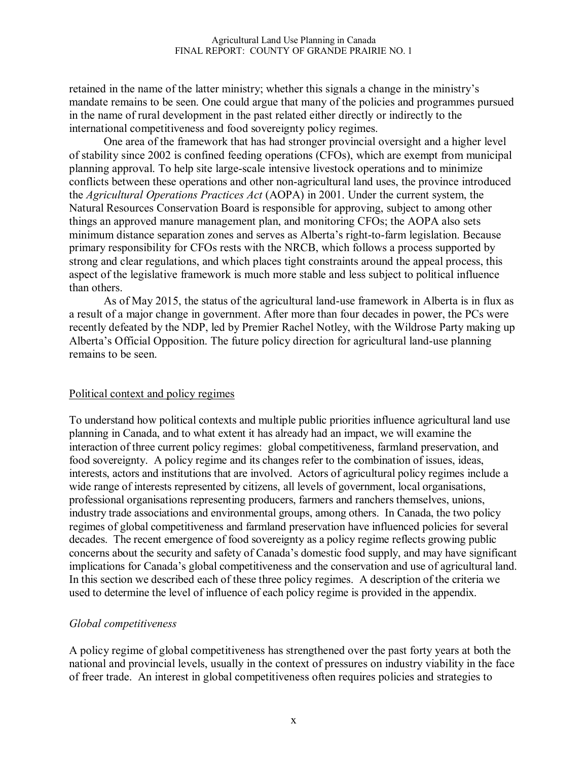retained in the name of the latter ministry; whether this signals a change in the ministry's mandate remains to be seen. One could argue that many of the policies and programmes pursued in the name of rural development in the past related either directly or indirectly to the international competitiveness and food sovereignty policy regimes.

One area of the framework that has had stronger provincial oversight and a higher level of stability since 2002 is confined feeding operations (CFOs), which are exempt from municipal planning approval. To help site large-scale intensive livestock operations and to minimize conflicts between these operations and other non-agricultural land uses, the province introduced the *Agricultural Operations Practices Act* (AOPA) in 2001. Under the current system, the Natural Resources Conservation Board is responsible for approving, subject to among other things an approved manure management plan, and monitoring CFOs; the AOPA also sets minimum distance separation zones and serves as Alberta's right-to-farm legislation. Because primary responsibility for CFOs rests with the NRCB, which follows a process supported by strong and clear regulations, and which places tight constraints around the appeal process, this aspect of the legislative framework is much more stable and less subject to political influence than others.

As of May 2015, the status of the agricultural land-use framework in Alberta is in flux as a result of a major change in government. After more than four decades in power, the PCs were recently defeated by the NDP, led by Premier Rachel Notley, with the Wildrose Party making up Alberta's Official Opposition. The future policy direction for agricultural land-use planning remains to be seen.

#### Political context and policy regimes

To understand how political contexts and multiple public priorities influence agricultural land use planning in Canada, and to what extent it has already had an impact, we will examine the interaction of three current policy regimes: global competitiveness, farmland preservation, and food sovereignty. A policy regime and its changes refer to the combination of issues, ideas, interests, actors and institutions that are involved. Actors of agricultural policy regimes include a wide range of interests represented by citizens, all levels of government, local organisations, professional organisations representing producers, farmers and ranchers themselves, unions, industry trade associations and environmental groups, among others. In Canada, the two policy regimes of global competitiveness and farmland preservation have influenced policies for several decades. The recent emergence of food sovereignty as a policy regime reflects growing public concerns about the security and safety of Canada's domestic food supply, and may have significant implications for Canada's global competitiveness and the conservation and use of agricultural land. In this section we described each of these three policy regimes. A description of the criteria we used to determine the level of influence of each policy regime is provided in the appendix.

#### *Global competitiveness*

A policy regime of global competitiveness has strengthened over the past forty years at both the national and provincial levels, usually in the context of pressures on industry viability in the face of freer trade. An interest in global competitiveness often requires policies and strategies to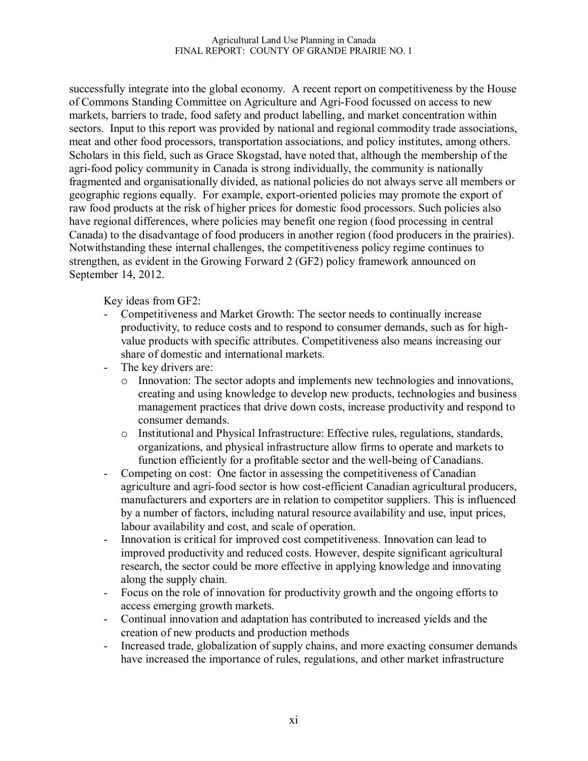successfully integrate into the global economy. A recent report on competitiveness by the House of Commons Standing Committee on Agriculture and Agri-Food focussed on access to new markets, barriers to trade, food safety and product labelling, and market concentration within sectors. Input to this report was provided by national and regional commodity trade associations, meat and other food processors, transportation associations, and policy institutes, among others. Scholars in this field, such as Grace Skogstad, have noted that, although the membership of the agri-food policy community in Canada is strong individually, the community is nationally fragmented and organisationally divided, as national policies do not always serve all members or geographic regions equally. For example, export-oriented policies may promote the export of raw food products at the risk of higher prices for domestic food processors. Such policies also have regional differences, where policies may benefit one region (food processing in central Canada) to the disadvantage of food producers in another region (food producers in the prairies). Notwithstanding these internal challenges, the competitiveness policy regime continues to strengthen, as evident in the Growing Forward 2 (GF2) policy framework announced on September 14, 2012.

Key ideas from GF2:

- Competitiveness and Market Growth: The sector needs to continually increase productivity, to reduce costs and to respond to consumer demands, such as for highvalue products with specific attributes. Competitiveness also means increasing our share of domestic and international markets.
- The key drivers are:
	- o Innovation: The sector adopts and implements new technologies and innovations, creating and using knowledge to develop new products, technologies and business management practices that drive down costs, increase productivity and respond to consumer demands.
	- o Institutional and Physical Infrastructure: Effective rules, regulations, standards, organizations, and physical infrastructure allow firms to operate and markets to function efficiently for a profitable sector and the well-being of Canadians.
- Competing on cost: One factor in assessing the competitiveness of Canadian agriculture and agri-food sector is how cost-efficient Canadian agricultural producers, manufacturers and exporters are in relation to competitor suppliers. This is influenced by a number of factors, including natural resource availability and use, input prices, labour availability and cost, and scale of operation.
- Innovation is critical for improved cost competitiveness. Innovation can lead to improved productivity and reduced costs. However, despite significant agricultural research, the sector could be more effective in applying knowledge and innovating along the supply chain.
- Focus on the role of innovation for productivity growth and the ongoing efforts to access emerging growth markets.
- Continual innovation and adaptation has contributed to increased yields and the creation of new products and production methods
- Increased trade, globalization of supply chains, and more exacting consumer demands have increased the importance of rules, regulations, and other market infrastructure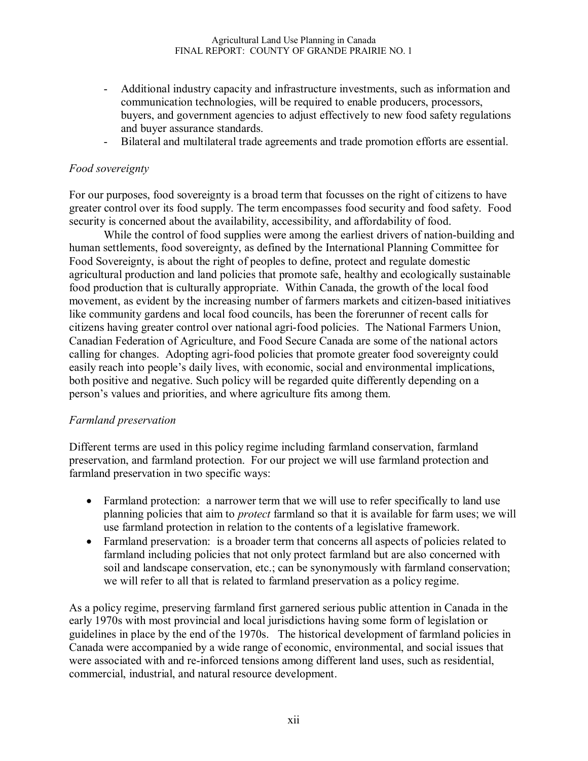- Additional industry capacity and infrastructure investments, such as information and communication technologies, will be required to enable producers, processors, buyers, and government agencies to adjust effectively to new food safety regulations and buyer assurance standards.
- Bilateral and multilateral trade agreements and trade promotion efforts are essential.

### *Food sovereignty*

For our purposes, food sovereignty is a broad term that focusses on the right of citizens to have greater control over its food supply. The term encompasses food security and food safety. Food security is concerned about the availability, accessibility, and affordability of food.

While the control of food supplies were among the earliest drivers of nation-building and human settlements, food sovereignty, as defined by the International Planning Committee for Food Sovereignty, is about the right of peoples to define, protect and regulate domestic agricultural production and land policies that promote safe, healthy and ecologically sustainable food production that is culturally appropriate. Within Canada, the growth of the local food movement, as evident by the increasing number of farmers markets and citizen-based initiatives like community gardens and local food councils, has been the forerunner of recent calls for citizens having greater control over national agri-food policies. The National Farmers Union, Canadian Federation of Agriculture, and Food Secure Canada are some of the national actors calling for changes. Adopting agri-food policies that promote greater food sovereignty could easily reach into people's daily lives, with economic, social and environmental implications, both positive and negative. Such policy will be regarded quite differently depending on a person's values and priorities, and where agriculture fits among them.

#### *Farmland preservation*

Different terms are used in this policy regime including farmland conservation, farmland preservation, and farmland protection. For our project we will use farmland protection and farmland preservation in two specific ways:

- Farmland protection: a narrower term that we will use to refer specifically to land use planning policies that aim to *protect* farmland so that it is available for farm uses; we will use farmland protection in relation to the contents of a legislative framework.
- Farmland preservation: is a broader term that concerns all aspects of policies related to farmland including policies that not only protect farmland but are also concerned with soil and landscape conservation, etc.; can be synonymously with farmland conservation; we will refer to all that is related to farmland preservation as a policy regime.

As a policy regime, preserving farmland first garnered serious public attention in Canada in the early 1970s with most provincial and local jurisdictions having some form of legislation or guidelines in place by the end of the 1970s. The historical development of farmland policies in Canada were accompanied by a wide range of economic, environmental, and social issues that were associated with and re-inforced tensions among different land uses, such as residential, commercial, industrial, and natural resource development.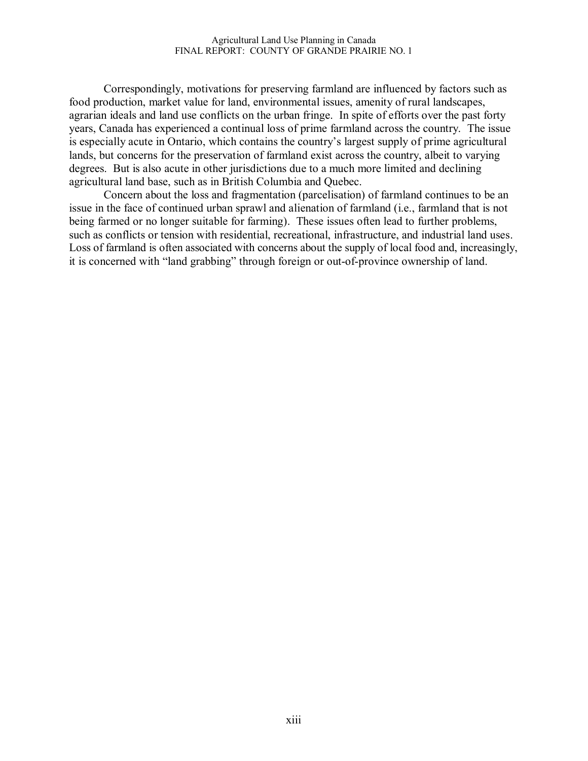Correspondingly, motivations for preserving farmland are influenced by factors such as food production, market value for land, environmental issues, amenity of rural landscapes, agrarian ideals and land use conflicts on the urban fringe. In spite of efforts over the past forty years, Canada has experienced a continual loss of prime farmland across the country. The issue is especially acute in Ontario, which contains the country's largest supply of prime agricultural lands, but concerns for the preservation of farmland exist across the country, albeit to varying degrees. But is also acute in other jurisdictions due to a much more limited and declining agricultural land base, such as in British Columbia and Quebec.

Concern about the loss and fragmentation (parcelisation) of farmland continues to be an issue in the face of continued urban sprawl and alienation of farmland (i.e., farmland that is not being farmed or no longer suitable for farming). These issues often lead to further problems, such as conflicts or tension with residential, recreational, infrastructure, and industrial land uses. Loss of farmland is often associated with concerns about the supply of local food and, increasingly, it is concerned with "land grabbing" through foreign or out-of-province ownership of land.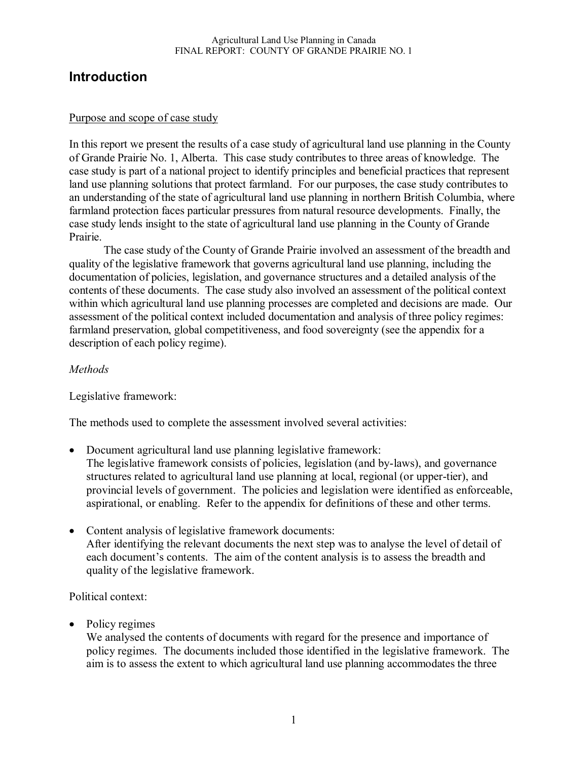# **Introduction**

### Purpose and scope of case study

In this report we present the results of a case study of agricultural land use planning in the County of Grande Prairie No. 1, Alberta. This case study contributes to three areas of knowledge. The case study is part of a national project to identify principles and beneficial practices that represent land use planning solutions that protect farmland. For our purposes, the case study contributes to an understanding of the state of agricultural land use planning in northern British Columbia, where farmland protection faces particular pressures from natural resource developments. Finally, the case study lends insight to the state of agricultural land use planning in the County of Grande Prairie.

The case study of the County of Grande Prairie involved an assessment of the breadth and quality of the legislative framework that governs agricultural land use planning, including the documentation of policies, legislation, and governance structures and a detailed analysis of the contents of these documents. The case study also involved an assessment of the political context within which agricultural land use planning processes are completed and decisions are made. Our assessment of the political context included documentation and analysis of three policy regimes: farmland preservation, global competitiveness, and food sovereignty (see the appendix for a description of each policy regime).

### *Methods*

Legislative framework:

The methods used to complete the assessment involved several activities:

- Document agricultural land use planning legislative framework: The legislative framework consists of policies, legislation (and by-laws), and governance structures related to agricultural land use planning at local, regional (or upper-tier), and provincial levels of government. The policies and legislation were identified as enforceable, aspirational, or enabling. Refer to the appendix for definitions of these and other terms.
- Content analysis of legislative framework documents: After identifying the relevant documents the next step was to analyse the level of detail of each document's contents. The aim of the content analysis is to assess the breadth and quality of the legislative framework.

Political context:

• Policy regimes

We analysed the contents of documents with regard for the presence and importance of policy regimes. The documents included those identified in the legislative framework. The aim is to assess the extent to which agricultural land use planning accommodates the three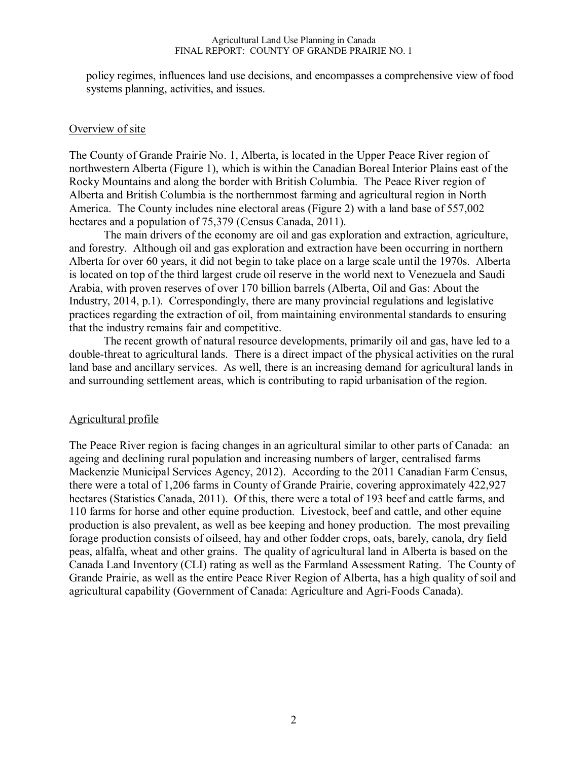policy regimes, influences land use decisions, and encompasses a comprehensive view of food systems planning, activities, and issues.

#### Overview of site

The County of Grande Prairie No. 1, Alberta, is located in the Upper Peace River region of northwestern Alberta (Figure 1), which is within the Canadian Boreal Interior Plains east of the Rocky Mountains and along the border with British Columbia. The Peace River region of Alberta and British Columbia is the northernmost farming and agricultural region in North America. The County includes nine electoral areas (Figure 2) with a land base of 557,002 hectares and a population of 75,379 (Census Canada, 2011).

The main drivers of the economy are oil and gas exploration and extraction, agriculture, and forestry. Although oil and gas exploration and extraction have been occurring in northern Alberta for over 60 years, it did not begin to take place on a large scale until the 1970s. Alberta is located on top of the third largest crude oil reserve in the world next to Venezuela and Saudi Arabia, with proven reserves of over 170 billion barrels (Alberta, Oil and Gas: About the Industry, 2014, p.1). Correspondingly, there are many provincial regulations and legislative practices regarding the extraction of oil, from maintaining environmental standards to ensuring that the industry remains fair and competitive.

The recent growth of natural resource developments, primarily oil and gas, have led to a double-threat to agricultural lands. There is a direct impact of the physical activities on the rural land base and ancillary services. As well, there is an increasing demand for agricultural lands in and surrounding settlement areas, which is contributing to rapid urbanisation of the region.

#### Agricultural profile

The Peace River region is facing changes in an agricultural similar to other parts of Canada: an ageing and declining rural population and increasing numbers of larger, centralised farms Mackenzie Municipal Services Agency, 2012). According to the 2011 Canadian Farm Census, there were a total of 1,206 farms in County of Grande Prairie, covering approximately 422,927 hectares (Statistics Canada, 2011). Of this, there were a total of 193 beef and cattle farms, and 110 farms for horse and other equine production. Livestock, beef and cattle, and other equine production is also prevalent, as well as bee keeping and honey production. The most prevailing forage production consists of oilseed, hay and other fodder crops, oats, barely, canola, dry field peas, alfalfa, wheat and other grains. The quality of agricultural land in Alberta is based on the Canada Land Inventory (CLI) rating as well as the Farmland Assessment Rating. The County of Grande Prairie, as well as the entire Peace River Region of Alberta, has a high quality of soil and agricultural capability (Government of Canada: Agriculture and Agri-Foods Canada).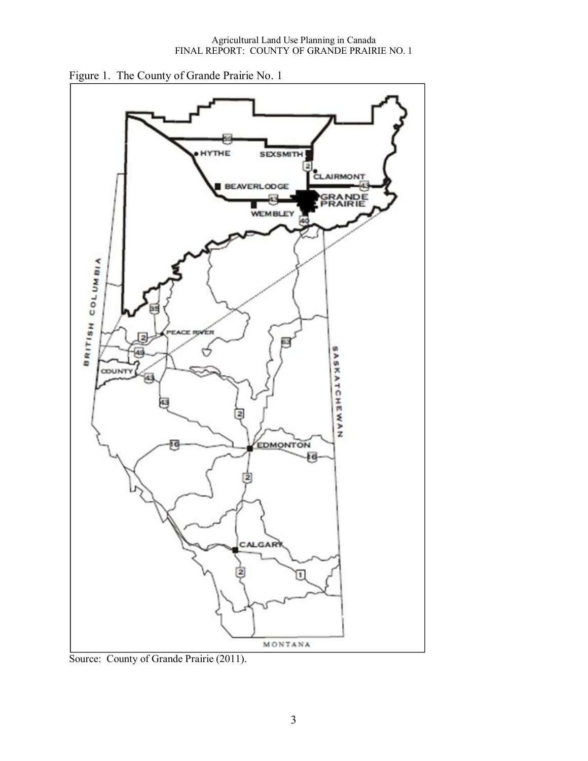

Figure 1. The County of Grande Prairie No. 1

Source: County of Grande Prairie (2011).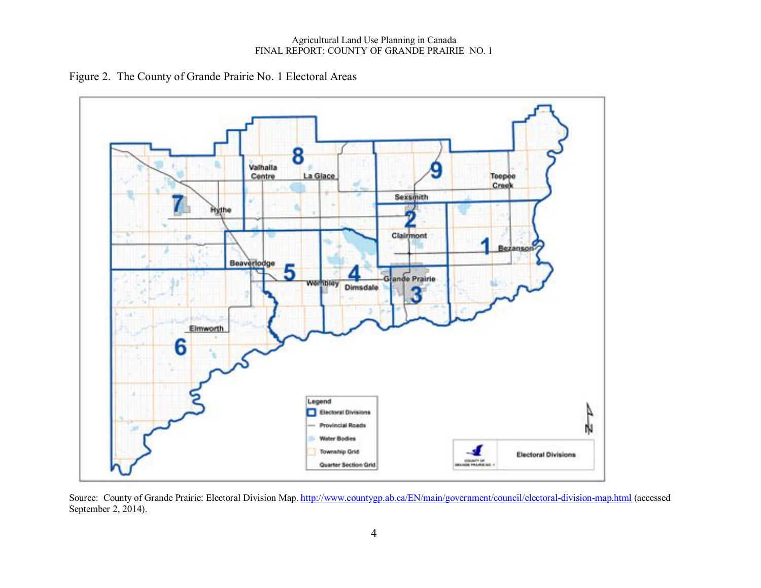#### Agricultural Land Use Planning in Canada FINAL REPORT: COUNTY OF GRANDE PRAIRIE NO. 1

Figure 2. The County of Grande Prairie No. 1 Electoral Areas



Source: County of Grande Prairie: Electoral Division Map. http://www.countygp.ab.ca/EN/main/government/council/electoral-division-map.html (accessed September 2, 2014).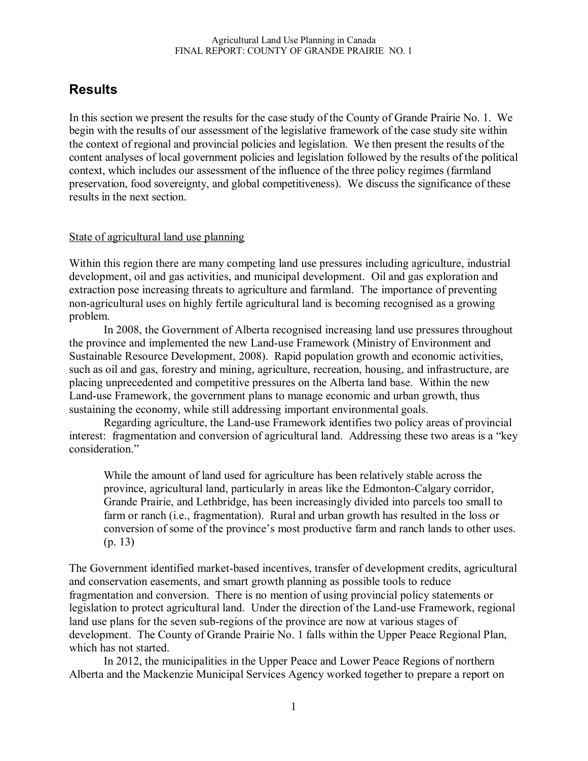# **Results**

In this section we present the results for the case study of the County of Grande Prairie No. 1. We begin with the results of our assessment of the legislative framework of the case study site within the context of regional and provincial policies and legislation. We then present the results of the content analyses of local government policies and legislation followed by the results of the political context, which includes our assessment of the influence of the three policy regimes (farmland preservation, food sovereignty, and global competitiveness). We discuss the significance of these results in the next section.

#### State of agricultural land use planning

Within this region there are many competing land use pressures including agriculture, industrial development, oil and gas activities, and municipal development. Oil and gas exploration and extraction pose increasing threats to agriculture and farmland. The importance of preventing non-agricultural uses on highly fertile agricultural land is becoming recognised as a growing problem.

In 2008, the Government of Alberta recognised increasing land use pressures throughout the province and implemented the new Land-use Framework (Ministry of Environment and Sustainable Resource Development, 2008). Rapid population growth and economic activities, such as oil and gas, forestry and mining, agriculture, recreation, housing, and infrastructure, are placing unprecedented and competitive pressures on the Alberta land base. Within the new Land-use Framework, the government plans to manage economic and urban growth, thus sustaining the economy, while still addressing important environmental goals.

Regarding agriculture, the Land-use Framework identifies two policy areas of provincial interest: fragmentation and conversion of agricultural land. Addressing these two areas is a "key consideration."

While the amount of land used for agriculture has been relatively stable across the province, agricultural land, particularly in areas like the Edmonton-Calgary corridor, Grande Prairie, and Lethbridge, has been increasingly divided into parcels too small to farm or ranch (i.e., fragmentation). Rural and urban growth has resulted in the loss or conversion of some of the province's most productive farm and ranch lands to other uses. (p. 13)

The Government identified market-based incentives, transfer of development credits, agricultural and conservation easements, and smart growth planning as possible tools to reduce fragmentation and conversion. There is no mention of using provincial policy statements or legislation to protect agricultural land. Under the direction of the Land-use Framework, regional land use plans for the seven sub-regions of the province are now at various stages of development. The County of Grande Prairie No. 1 falls within the Upper Peace Regional Plan, which has not started.

In 2012, the municipalities in the Upper Peace and Lower Peace Regions of northern Alberta and the Mackenzie Municipal Services Agency worked together to prepare a report on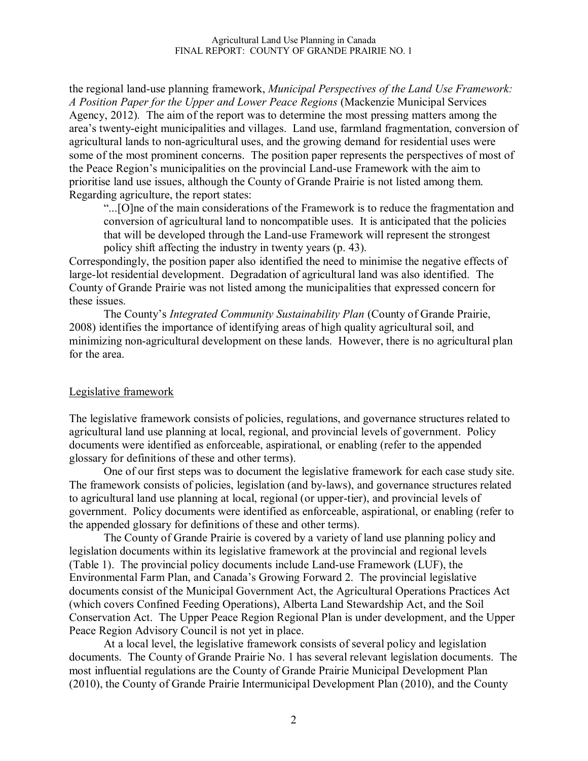the regional land-use planning framework, *Municipal Perspectives of the Land Use Framework: A Position Paper for the Upper and Lower Peace Regions* (Mackenzie Municipal Services Agency, 2012)*.* The aim of the report was to determine the most pressing matters among the area's twenty-eight municipalities and villages. Land use, farmland fragmentation, conversion of agricultural lands to non-agricultural uses, and the growing demand for residential uses were some of the most prominent concerns. The position paper represents the perspectives of most of the Peace Region's municipalities on the provincial Land-use Framework with the aim to prioritise land use issues, although the County of Grande Prairie is not listed among them. Regarding agriculture, the report states:

"...[O]ne of the main considerations of the Framework is to reduce the fragmentation and conversion of agricultural land to noncompatible uses. It is anticipated that the policies that will be developed through the Land-use Framework will represent the strongest policy shift affecting the industry in twenty years (p. 43).

Correspondingly, the position paper also identified the need to minimise the negative effects of large-lot residential development. Degradation of agricultural land was also identified. The County of Grande Prairie was not listed among the municipalities that expressed concern for these issues.

The County's *Integrated Community Sustainability Plan* (County of Grande Prairie, 2008) identifies the importance of identifying areas of high quality agricultural soil, and minimizing non-agricultural development on these lands. However, there is no agricultural plan for the area.

#### Legislative framework

The legislative framework consists of policies, regulations, and governance structures related to agricultural land use planning at local, regional, and provincial levels of government. Policy documents were identified as enforceable, aspirational, or enabling (refer to the appended glossary for definitions of these and other terms).

One of our first steps was to document the legislative framework for each case study site. The framework consists of policies, legislation (and by-laws), and governance structures related to agricultural land use planning at local, regional (or upper-tier), and provincial levels of government. Policy documents were identified as enforceable, aspirational, or enabling (refer to the appended glossary for definitions of these and other terms).

The County of Grande Prairie is covered by a variety of land use planning policy and legislation documents within its legislative framework at the provincial and regional levels (Table 1). The provincial policy documents include Land-use Framework (LUF), the Environmental Farm Plan, and Canada's Growing Forward 2. The provincial legislative documents consist of the Municipal Government Act, the Agricultural Operations Practices Act (which covers Confined Feeding Operations), Alberta Land Stewardship Act, and the Soil Conservation Act. The Upper Peace Region Regional Plan is under development, and the Upper Peace Region Advisory Council is not yet in place.

At a local level, the legislative framework consists of several policy and legislation documents. The County of Grande Prairie No. 1 has several relevant legislation documents. The most influential regulations are the County of Grande Prairie Municipal Development Plan (2010), the County of Grande Prairie Intermunicipal Development Plan (2010), and the County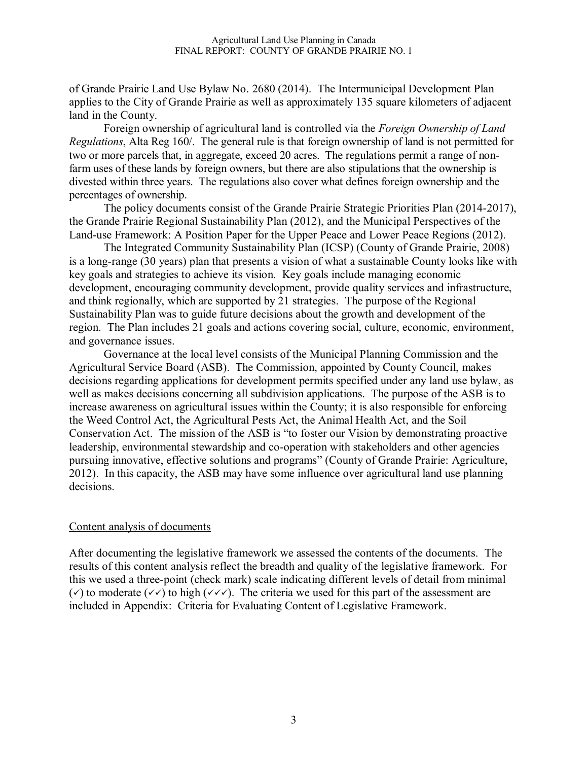of Grande Prairie Land Use Bylaw No. 2680 (2014). The Intermunicipal Development Plan applies to the City of Grande Prairie as well as approximately 135 square kilometers of adjacent land in the County.

Foreign ownership of agricultural land is controlled via the *Foreign Ownership of Land Regulations*, Alta Reg 160/. The general rule is that foreign ownership of land is not permitted for two or more parcels that, in aggregate, exceed 20 acres. The regulations permit a range of nonfarm uses of these lands by foreign owners, but there are also stipulations that the ownership is divested within three years. The regulations also cover what defines foreign ownership and the percentages of ownership.

The policy documents consist of the Grande Prairie Strategic Priorities Plan (2014-2017), the Grande Prairie Regional Sustainability Plan (2012), and the Municipal Perspectives of the Land-use Framework: A Position Paper for the Upper Peace and Lower Peace Regions (2012).

The Integrated Community Sustainability Plan (ICSP) (County of Grande Prairie, 2008) is a long-range (30 years) plan that presents a vision of what a sustainable County looks like with key goals and strategies to achieve its vision. Key goals include managing economic development, encouraging community development, provide quality services and infrastructure, and think regionally, which are supported by 21 strategies. The purpose of the Regional Sustainability Plan was to guide future decisions about the growth and development of the region. The Plan includes 21 goals and actions covering social, culture, economic, environment, and governance issues.

Governance at the local level consists of the Municipal Planning Commission and the Agricultural Service Board (ASB). The Commission, appointed by County Council, makes decisions regarding applications for development permits specified under any land use bylaw, as well as makes decisions concerning all subdivision applications. The purpose of the ASB is to increase awareness on agricultural issues within the County; it is also responsible for enforcing the Weed Control Act, the Agricultural Pests Act, the Animal Health Act, and the Soil Conservation Act. The mission of the ASB is "to foster our Vision by demonstrating proactive leadership, environmental stewardship and co-operation with stakeholders and other agencies pursuing innovative, effective solutions and programs" (County of Grande Prairie: Agriculture, 2012). In this capacity, the ASB may have some influence over agricultural land use planning decisions.

#### Content analysis of documents

After documenting the legislative framework we assessed the contents of the documents. The results of this content analysis reflect the breadth and quality of the legislative framework. For this we used a three-point (check mark) scale indicating different levels of detail from minimal ( $\checkmark$ ) to moderate ( $\checkmark\checkmark$ ) to high ( $\checkmark\checkmark\checkmark\checkmark$ ). The criteria we used for this part of the assessment are included in Appendix: Criteria for Evaluating Content of Legislative Framework.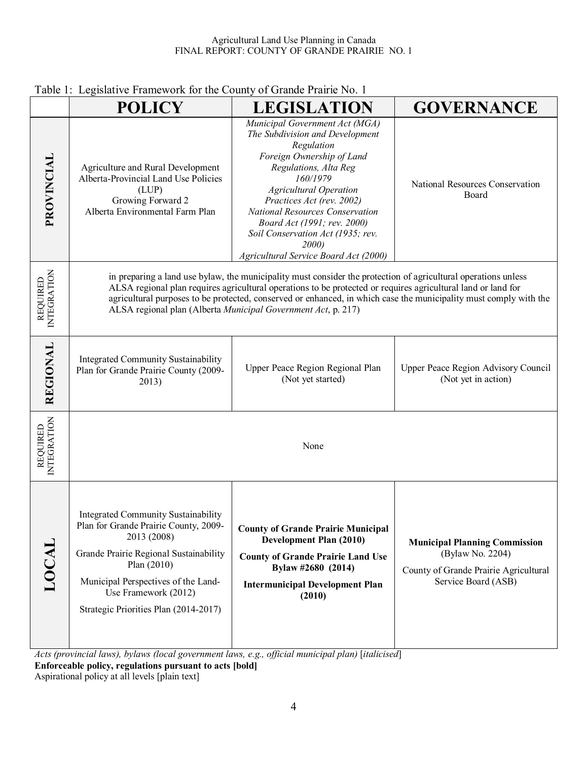|                                | Legislative Framework for the county of Grande Frame FVO.<br><b>POLICY</b>                                                                                                                                                                                            | <b>LEGISLATION</b>                                                                                                                                                                                                                                                                                                                                                                                                                                                                                                                      | <b>GOVERNANCE</b>                                                                                                        |
|--------------------------------|-----------------------------------------------------------------------------------------------------------------------------------------------------------------------------------------------------------------------------------------------------------------------|-----------------------------------------------------------------------------------------------------------------------------------------------------------------------------------------------------------------------------------------------------------------------------------------------------------------------------------------------------------------------------------------------------------------------------------------------------------------------------------------------------------------------------------------|--------------------------------------------------------------------------------------------------------------------------|
| PROVINCIAL                     | Agriculture and Rural Development<br>Alberta-Provincial Land Use Policies<br>(LUP)<br>Growing Forward 2<br>Alberta Environmental Farm Plan                                                                                                                            | Municipal Government Act (MGA)<br>The Subdivision and Development<br>Regulation<br>Foreign Ownership of Land<br>Regulations, Alta Reg<br>160/1979<br><b>Agricultural Operation</b><br>Practices Act (rev. 2002)<br>National Resources Conservation<br>Board Act (1991; rev. 2000)<br>Soil Conservation Act (1935; rev.<br>2000)<br>Agricultural Service Board Act (2000)                                                                                                                                                                | National Resources Conservation<br>Board                                                                                 |
| INTEGRATION<br><b>REQUIRED</b> |                                                                                                                                                                                                                                                                       | in preparing a land use bylaw, the municipality must consider the protection of agricultural operations unless<br>ALSA regional plan requires agricultural operations to be protected or requires agricultural land or land for<br>agricultural purposes to be protected, conserved or enhanced, in which case the municipality must comply with the<br>ALSA regional plan (Alberta Municipal Government Act, p. 217)                                                                                                                   |                                                                                                                          |
| <b>REGIONAL</b>                | <b>Integrated Community Sustainability</b><br>Plan for Grande Prairie County (2009-<br>2013)                                                                                                                                                                          | Upper Peace Region Regional Plan<br>(Not yet started)                                                                                                                                                                                                                                                                                                                                                                                                                                                                                   | Upper Peace Region Advisory Council<br>(Not yet in action)                                                               |
| INTEGRATION<br>REQUIRED        |                                                                                                                                                                                                                                                                       | None                                                                                                                                                                                                                                                                                                                                                                                                                                                                                                                                    |                                                                                                                          |
| LOCAL                          | <b>Integrated Community Sustainability</b><br>Plan for Grande Prairie County, 2009-<br>2013 (2008)<br>Grande Prairie Regional Sustainability<br>Plan $(2010)$<br>Municipal Perspectives of the Land-<br>Use Framework (2012)<br>Strategic Priorities Plan (2014-2017) | <b>County of Grande Prairie Municipal</b><br><b>Development Plan (2010)</b><br><b>County of Grande Prairie Land Use</b><br>Bylaw #2680 (2014)<br><b>Intermunicipal Development Plan</b><br>(2010)<br>$\mathbf{I}$ $\mathbf{I}$ $\mathbf{I}$ $\mathbf{I}$ $\mathbf{I}$ $\mathbf{I}$ $\mathbf{I}$ $\mathbf{I}$ $\mathbf{I}$ $\mathbf{I}$ $\mathbf{I}$ $\mathbf{I}$ $\mathbf{I}$ $\mathbf{I}$ $\mathbf{I}$ $\mathbf{I}$ $\mathbf{I}$ $\mathbf{I}$ $\mathbf{I}$ $\mathbf{I}$ $\mathbf{I}$ $\mathbf{I}$ $\mathbf{I}$ $\mathbf{I}$ $\mathbf{$ | <b>Municipal Planning Commission</b><br>(Bylaw No. 2204)<br>County of Grande Prairie Agricultural<br>Service Board (ASB) |

## Table 1: Legislative Framework for the County of Grande Prairie No. 1

*Acts (provincial laws), bylaws (local government laws, e.g., official municipal plan)* [*italicised*]

**Enforceable policy, regulations pursuant to acts [bold]**

Aspirational policy at all levels [plain text]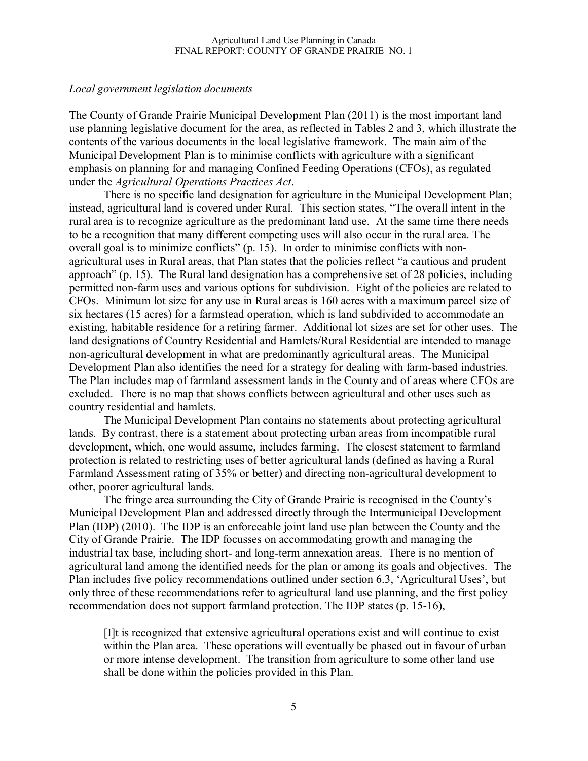#### *Local government legislation documents*

The County of Grande Prairie Municipal Development Plan (2011) is the most important land use planning legislative document for the area, as reflected in Tables 2 and 3, which illustrate the contents of the various documents in the local legislative framework. The main aim of the Municipal Development Plan is to minimise conflicts with agriculture with a significant emphasis on planning for and managing Confined Feeding Operations (CFOs), as regulated under the *Agricultural Operations Practices Act*.

There is no specific land designation for agriculture in the Municipal Development Plan; instead, agricultural land is covered under Rural. This section states, "The overall intent in the rural area is to recognize agriculture as the predominant land use. At the same time there needs to be a recognition that many different competing uses will also occur in the rural area. The overall goal is to minimize conflicts" (p. 15). In order to minimise conflicts with nonagricultural uses in Rural areas, that Plan states that the policies reflect "a cautious and prudent approach" (p. 15). The Rural land designation has a comprehensive set of 28 policies, including permitted non-farm uses and various options for subdivision. Eight of the policies are related to CFOs. Minimum lot size for any use in Rural areas is 160 acres with a maximum parcel size of six hectares (15 acres) for a farmstead operation, which is land subdivided to accommodate an existing, habitable residence for a retiring farmer. Additional lot sizes are set for other uses. The land designations of Country Residential and Hamlets/Rural Residential are intended to manage non-agricultural development in what are predominantly agricultural areas. The Municipal Development Plan also identifies the need for a strategy for dealing with farm-based industries. The Plan includes map of farmland assessment lands in the County and of areas where CFOs are excluded. There is no map that shows conflicts between agricultural and other uses such as country residential and hamlets.

The Municipal Development Plan contains no statements about protecting agricultural lands. By contrast, there is a statement about protecting urban areas from incompatible rural development, which, one would assume, includes farming. The closest statement to farmland protection is related to restricting uses of better agricultural lands (defined as having a Rural Farmland Assessment rating of 35% or better) and directing non-agricultural development to other, poorer agricultural lands.

The fringe area surrounding the City of Grande Prairie is recognised in the County's Municipal Development Plan and addressed directly through the Intermunicipal Development Plan (IDP) (2010). The IDP is an enforceable joint land use plan between the County and the City of Grande Prairie. The IDP focusses on accommodating growth and managing the industrial tax base, including short- and long-term annexation areas. There is no mention of agricultural land among the identified needs for the plan or among its goals and objectives. The Plan includes five policy recommendations outlined under section 6.3, 'Agricultural Uses', but only three of these recommendations refer to agricultural land use planning, and the first policy recommendation does not support farmland protection. The IDP states (p. 15-16),

[I]t is recognized that extensive agricultural operations exist and will continue to exist within the Plan area. These operations will eventually be phased out in favour of urban or more intense development. The transition from agriculture to some other land use shall be done within the policies provided in this Plan.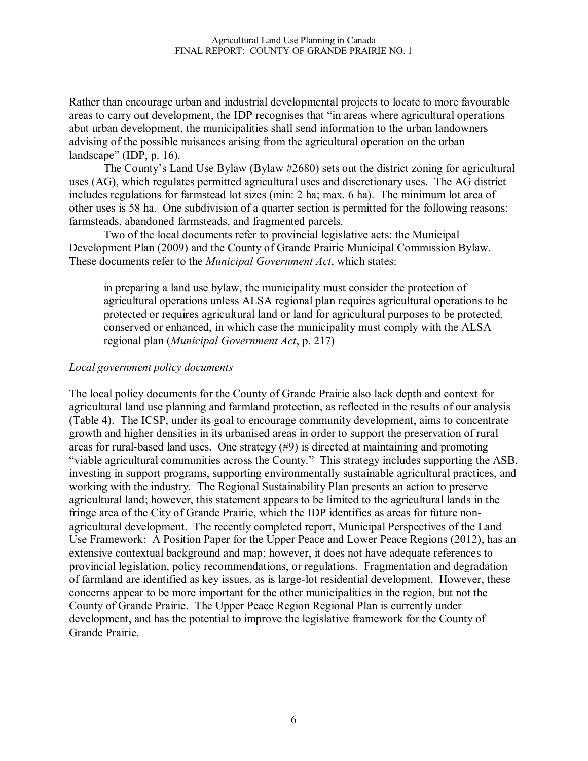Rather than encourage urban and industrial developmental projects to locate to more favourable areas to carry out development, the IDP recognises that "in areas where agricultural operations abut urban development, the municipalities shall send information to the urban landowners advising of the possible nuisances arising from the agricultural operation on the urban landscape" (IDP, p. 16).

The County's Land Use Bylaw (Bylaw #2680) sets out the district zoning for agricultural uses (AG), which regulates permitted agricultural uses and discretionary uses. The AG district includes regulations for farmstead lot sizes (min: 2 ha; max. 6 ha). The minimum lot area of other uses is 58 ha. One subdivision of a quarter section is permitted for the following reasons: farmsteads, abandoned farmsteads, and fragmented parcels.

Two of the local documents refer to provincial legislative acts: the Municipal Development Plan (2009) and the County of Grande Prairie Municipal Commission Bylaw. These documents refer to the *Municipal Government Act*, which states:

in preparing a land use bylaw, the municipality must consider the protection of agricultural operations unless ALSA regional plan requires agricultural operations to be protected or requires agricultural land or land for agricultural purposes to be protected, conserved or enhanced, in which case the municipality must comply with the ALSA regional plan (*Municipal Government Act*, p. 217)

### *Local government policy documents*

The local policy documents for the County of Grande Prairie also lack depth and context for agricultural land use planning and farmland protection, as reflected in the results of our analysis (Table 4). The ICSP, under its goal to encourage community development, aims to concentrate growth and higher densities in its urbanised areas in order to support the preservation of rural areas for rural-based land uses. One strategy (#9) is directed at maintaining and promoting "viable agricultural communities across the County." This strategy includes supporting the ASB, investing in support programs, supporting environmentally sustainable agricultural practices, and working with the industry. The Regional Sustainability Plan presents an action to preserve agricultural land; however, this statement appears to be limited to the agricultural lands in the fringe area of the City of Grande Prairie, which the IDP identifies as areas for future nonagricultural development. The recently completed report, Municipal Perspectives of the Land Use Framework: A Position Paper for the Upper Peace and Lower Peace Regions (2012), has an extensive contextual background and map; however, it does not have adequate references to provincial legislation, policy recommendations, or regulations. Fragmentation and degradation of farmland are identified as key issues, as is large-lot residential development. However, these concerns appear to be more important for the other municipalities in the region, but not the County of Grande Prairie. The Upper Peace Region Regional Plan is currently under development, and has the potential to improve the legislative framework for the County of Grande Prairie.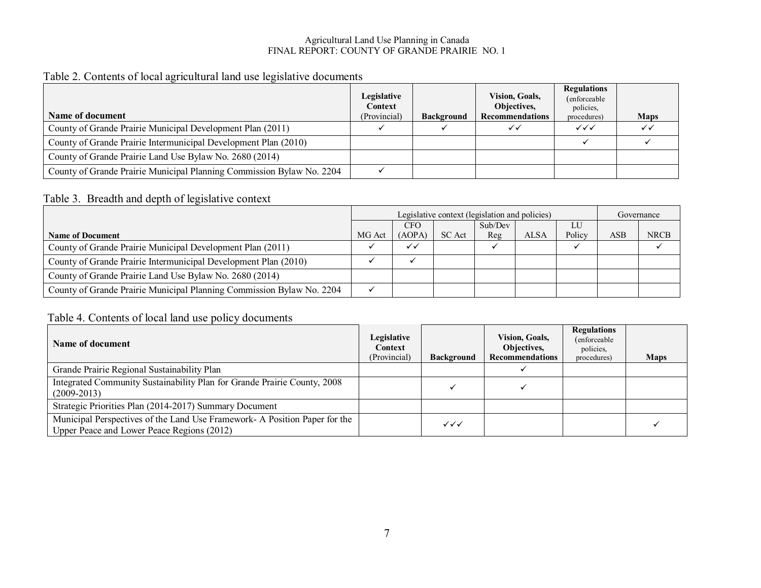#### Agricultural Land Use Planning in Canada FINAL REPORT: COUNTY OF GRANDE PRAIRIE NO. 1

## Table 2. Contents of local agricultural land use legislative documents

| Name of document                                                      | Legislative<br>Context<br>(Provincial) | <b>Background</b> | <b>Vision, Goals,</b><br>Objectives,<br><b>Recommendations</b> | <b>Regulations</b><br>(enforceable)<br>policies,<br>procedures) | <b>Maps</b> |
|-----------------------------------------------------------------------|----------------------------------------|-------------------|----------------------------------------------------------------|-----------------------------------------------------------------|-------------|
| County of Grande Prairie Municipal Development Plan (2011)            |                                        |                   |                                                                | $\checkmark\checkmark$                                          |             |
| County of Grande Prairie Intermunicipal Development Plan (2010)       |                                        |                   |                                                                |                                                                 |             |
| County of Grande Prairie Land Use Bylaw No. 2680 (2014)               |                                        |                   |                                                                |                                                                 |             |
| County of Grande Prairie Municipal Planning Commission Bylaw No. 2204 |                                        |                   |                                                                |                                                                 |             |

## Table 3. Breadth and depth of legislative context

|                                                                       |        | Legislative context (legislation and policies) |        |         |             | Governance |                |             |
|-----------------------------------------------------------------------|--------|------------------------------------------------|--------|---------|-------------|------------|----------------|-------------|
|                                                                       |        | <b>CFO</b>                                     |        | Sub/Dev |             | LU         |                |             |
| <b>Name of Document</b>                                               | MG Act | (AOPA)                                         | SC Act | Reg     | <b>ALSA</b> | Policy     | $\mathbf{ASB}$ | <b>NRCB</b> |
| County of Grande Prairie Municipal Development Plan (2011)            |        | $\checkmark$                                   |        |         |             |            |                |             |
| County of Grande Prairie Intermunicipal Development Plan (2010)       |        |                                                |        |         |             |            |                |             |
| County of Grande Prairie Land Use Bylaw No. 2680 (2014)               |        |                                                |        |         |             |            |                |             |
| County of Grande Prairie Municipal Planning Commission Bylaw No. 2204 |        |                                                |        |         |             |            |                |             |

## Table 4. Contents of local land use policy documents

| Name of document                                                                                                         | Legislative<br>Context<br>(Provincial) | <b>Background</b> | <b>Vision, Goals,</b><br>Objectives,<br><b>Recommendations</b> | <b>Regulations</b><br>(enforceable)<br>policies.<br>procedures) | <b>Maps</b> |
|--------------------------------------------------------------------------------------------------------------------------|----------------------------------------|-------------------|----------------------------------------------------------------|-----------------------------------------------------------------|-------------|
| Grande Prairie Regional Sustainability Plan                                                                              |                                        |                   |                                                                |                                                                 |             |
| Integrated Community Sustainability Plan for Grande Prairie County, 2008<br>$(2009 - 2013)$                              |                                        |                   |                                                                |                                                                 |             |
| Strategic Priorities Plan (2014-2017) Summary Document                                                                   |                                        |                   |                                                                |                                                                 |             |
| Municipal Perspectives of the Land Use Framework- A Position Paper for the<br>Upper Peace and Lower Peace Regions (2012) |                                        | $\checkmark$      |                                                                |                                                                 |             |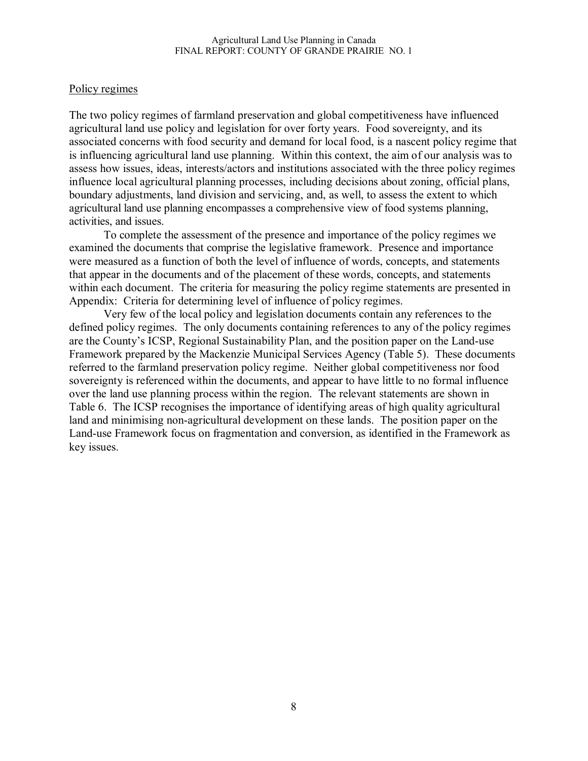#### Policy regimes

The two policy regimes of farmland preservation and global competitiveness have influenced agricultural land use policy and legislation for over forty years. Food sovereignty, and its associated concerns with food security and demand for local food, is a nascent policy regime that is influencing agricultural land use planning. Within this context, the aim of our analysis was to assess how issues, ideas, interests/actors and institutions associated with the three policy regimes influence local agricultural planning processes, including decisions about zoning, official plans, boundary adjustments, land division and servicing, and, as well, to assess the extent to which agricultural land use planning encompasses a comprehensive view of food systems planning, activities, and issues.

To complete the assessment of the presence and importance of the policy regimes we examined the documents that comprise the legislative framework. Presence and importance were measured as a function of both the level of influence of words, concepts, and statements that appear in the documents and of the placement of these words, concepts, and statements within each document. The criteria for measuring the policy regime statements are presented in Appendix: Criteria for determining level of influence of policy regimes.

Very few of the local policy and legislation documents contain any references to the defined policy regimes. The only documents containing references to any of the policy regimes are the County's ICSP, Regional Sustainability Plan, and the position paper on the Land-use Framework prepared by the Mackenzie Municipal Services Agency (Table 5). These documents referred to the farmland preservation policy regime. Neither global competitiveness nor food sovereignty is referenced within the documents, and appear to have little to no formal influence over the land use planning process within the region. The relevant statements are shown in Table 6. The ICSP recognises the importance of identifying areas of high quality agricultural land and minimising non-agricultural development on these lands. The position paper on the Land-use Framework focus on fragmentation and conversion, as identified in the Framework as key issues.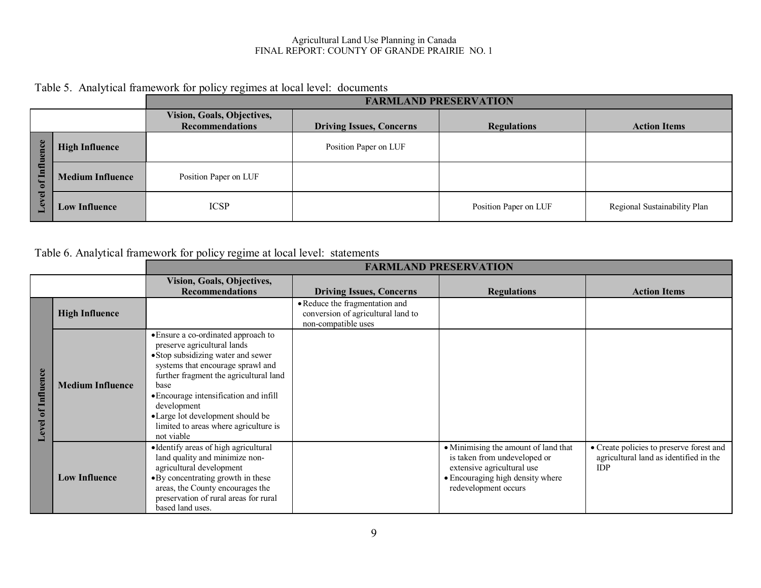#### Agricultural Land Use Planning in Canada FINAL REPORT: COUNTY OF GRANDE PRAIRIE NO. 1

## Table 5. Analytical framework for policy regimes at local level: documents

|                                                                       |                         | <b>FARMLAND PRESERVATION</b>                                |                                 |                       |                              |  |  |  |
|-----------------------------------------------------------------------|-------------------------|-------------------------------------------------------------|---------------------------------|-----------------------|------------------------------|--|--|--|
|                                                                       |                         | <b>Vision, Goals, Objectives,</b><br><b>Recommendations</b> | <b>Driving Issues, Concerns</b> | <b>Regulations</b>    | <b>Action Items</b>          |  |  |  |
| nce<br>lπ<br>E<br>Ξ<br>亘<br>$\mathbf{r}$<br>$\Box$<br>$\omega$<br>۰L. | <b>High Influence</b>   |                                                             | Position Paper on LUF           |                       |                              |  |  |  |
|                                                                       | <b>Medium Influence</b> | Position Paper on LUF                                       |                                 |                       |                              |  |  |  |
|                                                                       | <b>Low Influence</b>    | <b>ICSP</b>                                                 |                                 | Position Paper on LUF | Regional Sustainability Plan |  |  |  |

# Table 6. Analytical framework for policy regime at local level: statements

|                                    |                         | <b>FARMLAND PRESERVATION</b>                                                                                                                                                                                                                                                                                                                        |                                                                                             |                                                                                                                                                                |                                                                                                  |  |  |
|------------------------------------|-------------------------|-----------------------------------------------------------------------------------------------------------------------------------------------------------------------------------------------------------------------------------------------------------------------------------------------------------------------------------------------------|---------------------------------------------------------------------------------------------|----------------------------------------------------------------------------------------------------------------------------------------------------------------|--------------------------------------------------------------------------------------------------|--|--|
|                                    |                         | Vision, Goals, Objectives,<br><b>Recommendations</b>                                                                                                                                                                                                                                                                                                | <b>Driving Issues, Concerns</b>                                                             | <b>Regulations</b>                                                                                                                                             | <b>Action Items</b>                                                                              |  |  |
|                                    | <b>High Influence</b>   |                                                                                                                                                                                                                                                                                                                                                     | • Reduce the fragmentation and<br>conversion of agricultural land to<br>non-compatible uses |                                                                                                                                                                |                                                                                                  |  |  |
| Influence<br>$\mathbf{d}$<br>Level | <b>Medium Influence</b> | • Ensure a co-ordinated approach to<br>preserve agricultural lands<br>• Stop subsidizing water and sewer<br>systems that encourage sprawl and<br>further fragment the agricultural land<br>base<br>• Encourage intensification and infill<br>development<br>•Large lot development should be<br>limited to areas where agriculture is<br>not viable |                                                                                             |                                                                                                                                                                |                                                                                                  |  |  |
|                                    | <b>Low Influence</b>    | · Identify areas of high agricultural<br>land quality and minimize non-<br>agricultural development<br>• By concentrating growth in these<br>areas, the County encourages the<br>preservation of rural areas for rural<br>based land uses.                                                                                                          |                                                                                             | • Minimising the amount of land that<br>is taken from undeveloped or<br>extensive agricultural use<br>• Encouraging high density where<br>redevelopment occurs | • Create policies to preserve forest and<br>agricultural land as identified in the<br><b>IDP</b> |  |  |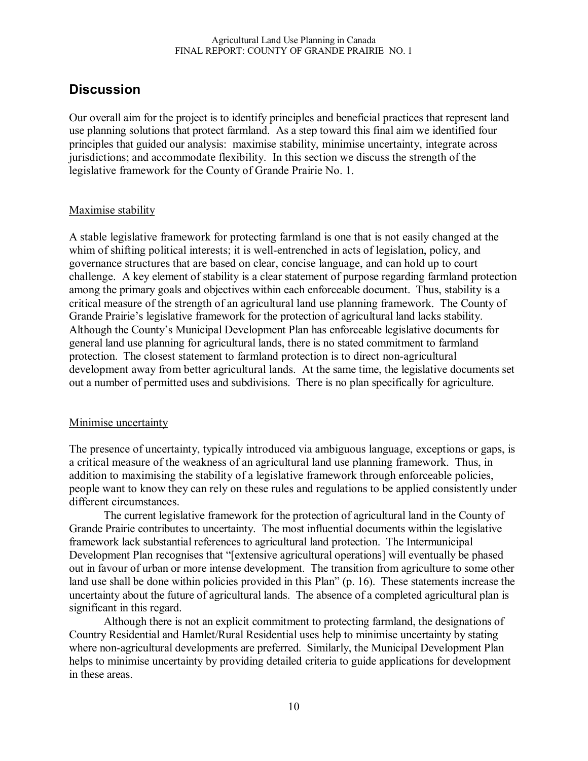# **Discussion**

Our overall aim for the project is to identify principles and beneficial practices that represent land use planning solutions that protect farmland. As a step toward this final aim we identified four principles that guided our analysis: maximise stability, minimise uncertainty, integrate across jurisdictions; and accommodate flexibility. In this section we discuss the strength of the legislative framework for the County of Grande Prairie No. 1.

### Maximise stability

A stable legislative framework for protecting farmland is one that is not easily changed at the whim of shifting political interests; it is well-entrenched in acts of legislation, policy, and governance structures that are based on clear, concise language, and can hold up to court challenge. A key element of stability is a clear statement of purpose regarding farmland protection among the primary goals and objectives within each enforceable document. Thus, stability is a critical measure of the strength of an agricultural land use planning framework. The County of Grande Prairie's legislative framework for the protection of agricultural land lacks stability. Although the County's Municipal Development Plan has enforceable legislative documents for general land use planning for agricultural lands, there is no stated commitment to farmland protection. The closest statement to farmland protection is to direct non-agricultural development away from better agricultural lands. At the same time, the legislative documents set out a number of permitted uses and subdivisions. There is no plan specifically for agriculture.

#### Minimise uncertainty

The presence of uncertainty, typically introduced via ambiguous language, exceptions or gaps, is a critical measure of the weakness of an agricultural land use planning framework. Thus, in addition to maximising the stability of a legislative framework through enforceable policies, people want to know they can rely on these rules and regulations to be applied consistently under different circumstances.

The current legislative framework for the protection of agricultural land in the County of Grande Prairie contributes to uncertainty. The most influential documents within the legislative framework lack substantial references to agricultural land protection. The Intermunicipal Development Plan recognises that "[extensive agricultural operations] will eventually be phased out in favour of urban or more intense development. The transition from agriculture to some other land use shall be done within policies provided in this Plan" (p. 16). These statements increase the uncertainty about the future of agricultural lands. The absence of a completed agricultural plan is significant in this regard.

Although there is not an explicit commitment to protecting farmland, the designations of Country Residential and Hamlet/Rural Residential uses help to minimise uncertainty by stating where non-agricultural developments are preferred. Similarly, the Municipal Development Plan helps to minimise uncertainty by providing detailed criteria to guide applications for development in these areas.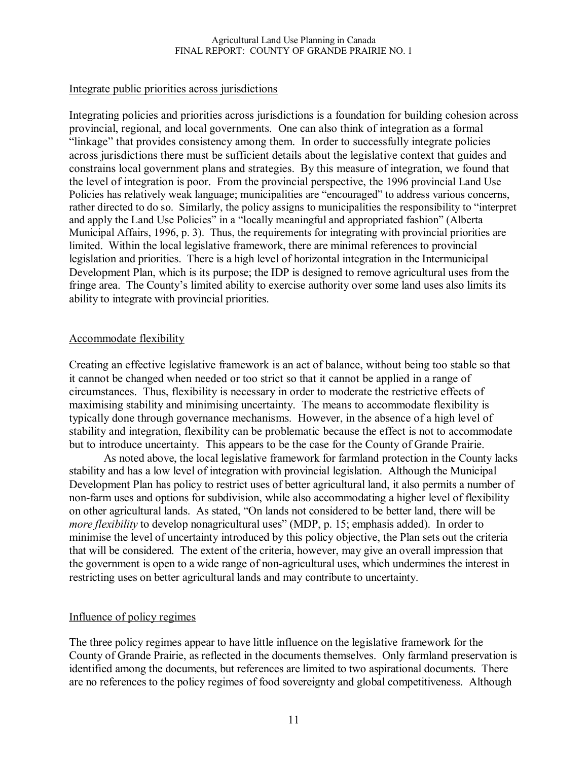#### Agricultural Land Use Planning in Canada FINAL REPORT: COUNTY OF GRANDE PRAIRIE NO. 1

#### Integrate public priorities across jurisdictions

Integrating policies and priorities across jurisdictions is a foundation for building cohesion across provincial, regional, and local governments. One can also think of integration as a formal "linkage" that provides consistency among them. In order to successfully integrate policies across jurisdictions there must be sufficient details about the legislative context that guides and constrains local government plans and strategies. By this measure of integration, we found that the level of integration is poor. From the provincial perspective, the 1996 provincial Land Use Policies has relatively weak language; municipalities are "encouraged" to address various concerns, rather directed to do so. Similarly, the policy assigns to municipalities the responsibility to "interpret and apply the Land Use Policies" in a "locally meaningful and appropriated fashion" (Alberta Municipal Affairs, 1996, p. 3). Thus, the requirements for integrating with provincial priorities are limited. Within the local legislative framework, there are minimal references to provincial legislation and priorities. There is a high level of horizontal integration in the Intermunicipal Development Plan, which is its purpose; the IDP is designed to remove agricultural uses from the fringe area. The County's limited ability to exercise authority over some land uses also limits its ability to integrate with provincial priorities.

#### Accommodate flexibility

Creating an effective legislative framework is an act of balance, without being too stable so that it cannot be changed when needed or too strict so that it cannot be applied in a range of circumstances. Thus, flexibility is necessary in order to moderate the restrictive effects of maximising stability and minimising uncertainty. The means to accommodate flexibility is typically done through governance mechanisms. However, in the absence of a high level of stability and integration, flexibility can be problematic because the effect is not to accommodate but to introduce uncertainty. This appears to be the case for the County of Grande Prairie.

As noted above, the local legislative framework for farmland protection in the County lacks stability and has a low level of integration with provincial legislation. Although the Municipal Development Plan has policy to restrict uses of better agricultural land, it also permits a number of non-farm uses and options for subdivision, while also accommodating a higher level of flexibility on other agricultural lands. As stated, "On lands not considered to be better land, there will be *more flexibility* to develop nonagricultural uses" (MDP, p. 15; emphasis added). In order to minimise the level of uncertainty introduced by this policy objective, the Plan sets out the criteria that will be considered. The extent of the criteria, however, may give an overall impression that the government is open to a wide range of non-agricultural uses, which undermines the interest in restricting uses on better agricultural lands and may contribute to uncertainty.

#### Influence of policy regimes

The three policy regimes appear to have little influence on the legislative framework for the County of Grande Prairie, as reflected in the documents themselves. Only farmland preservation is identified among the documents, but references are limited to two aspirational documents. There are no references to the policy regimes of food sovereignty and global competitiveness. Although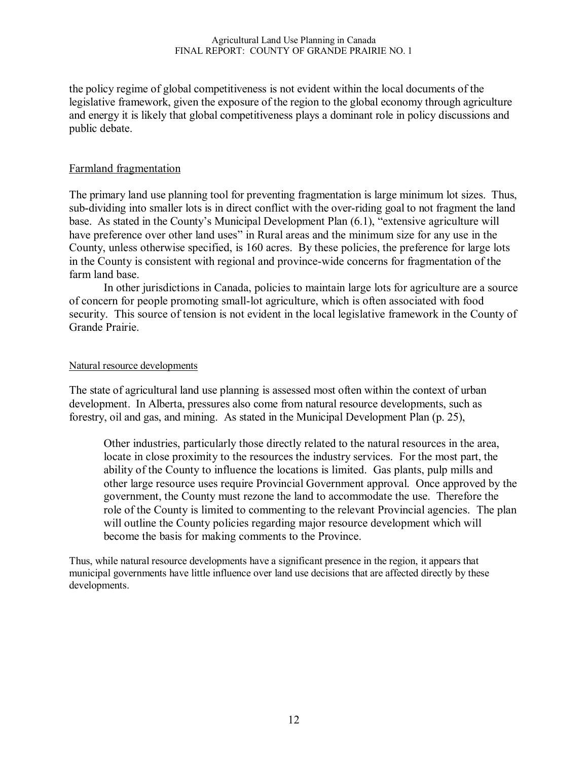the policy regime of global competitiveness is not evident within the local documents of the legislative framework, given the exposure of the region to the global economy through agriculture and energy it is likely that global competitiveness plays a dominant role in policy discussions and public debate.

#### Farmland fragmentation

The primary land use planning tool for preventing fragmentation is large minimum lot sizes. Thus, sub-dividing into smaller lots is in direct conflict with the over-riding goal to not fragment the land base. As stated in the County's Municipal Development Plan (6.1), "extensive agriculture will have preference over other land uses" in Rural areas and the minimum size for any use in the County, unless otherwise specified, is 160 acres. By these policies, the preference for large lots in the County is consistent with regional and province-wide concerns for fragmentation of the farm land base.

In other jurisdictions in Canada, policies to maintain large lots for agriculture are a source of concern for people promoting small-lot agriculture, which is often associated with food security. This source of tension is not evident in the local legislative framework in the County of Grande Prairie.

#### Natural resource developments

The state of agricultural land use planning is assessed most often within the context of urban development. In Alberta, pressures also come from natural resource developments, such as forestry, oil and gas, and mining. As stated in the Municipal Development Plan (p. 25),

Other industries, particularly those directly related to the natural resources in the area, locate in close proximity to the resources the industry services. For the most part, the ability of the County to influence the locations is limited. Gas plants, pulp mills and other large resource uses require Provincial Government approval. Once approved by the government, the County must rezone the land to accommodate the use. Therefore the role of the County is limited to commenting to the relevant Provincial agencies. The plan will outline the County policies regarding major resource development which will become the basis for making comments to the Province.

Thus, while natural resource developments have a significant presence in the region, it appears that municipal governments have little influence over land use decisions that are affected directly by these developments.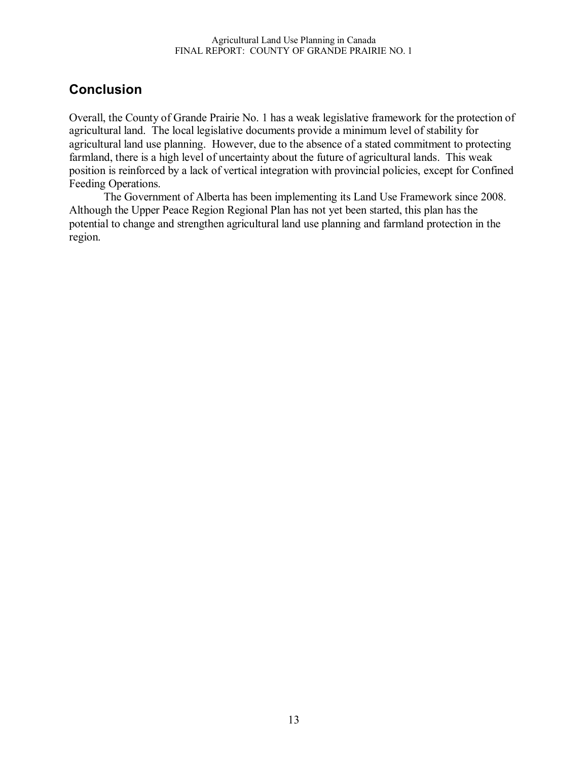# **Conclusion**

Overall, the County of Grande Prairie No. 1 has a weak legislative framework for the protection of agricultural land. The local legislative documents provide a minimum level of stability for agricultural land use planning. However, due to the absence of a stated commitment to protecting farmland, there is a high level of uncertainty about the future of agricultural lands. This weak position is reinforced by a lack of vertical integration with provincial policies, except for Confined Feeding Operations.

The Government of Alberta has been implementing its Land Use Framework since 2008. Although the Upper Peace Region Regional Plan has not yet been started, this plan has the potential to change and strengthen agricultural land use planning and farmland protection in the region.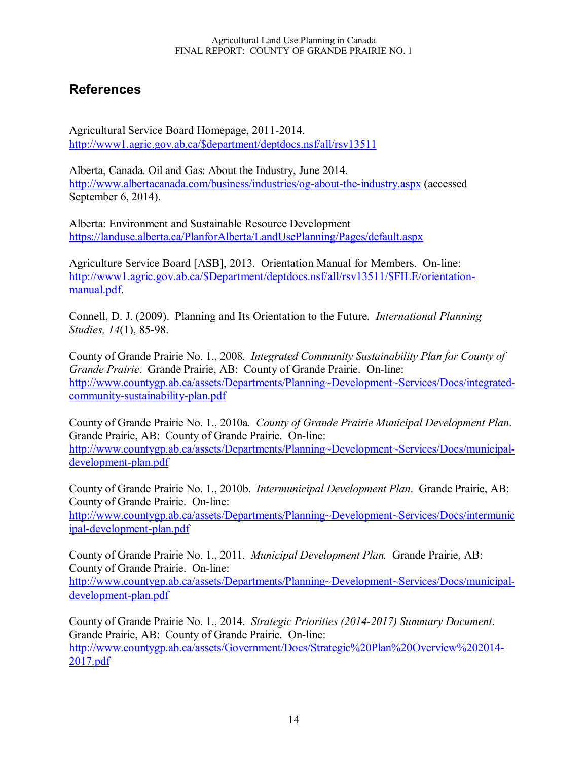# **References**

Agricultural Service Board Homepage, 2011-2014. http://www1.agric.gov.ab.ca/\$department/deptdocs.nsf/all/rsv13511

Alberta, Canada. Oil and Gas: About the Industry, June 2014. http://www.albertacanada.com/business/industries/og-about-the-industry.aspx (accessed September 6, 2014).

Alberta: Environment and Sustainable Resource Development https://landuse.alberta.ca/PlanforAlberta/LandUsePlanning/Pages/default.aspx

Agriculture Service Board [ASB], 2013. Orientation Manual for Members. On-line: http://www1.agric.gov.ab.ca/\$Department/deptdocs.nsf/all/rsv13511/\$FILE/orientationmanual.pdf.

Connell, D. J. (2009). Planning and Its Orientation to the Future. *International Planning Studies, 14*(1), 85-98.

County of Grande Prairie No. 1., 2008. *Integrated Community Sustainability Plan for County of Grande Prairie*. Grande Prairie, AB: County of Grande Prairie. On-line: http://www.countygp.ab.ca/assets/Departments/Planning~Development~Services/Docs/integratedcommunity-sustainability-plan.pdf

County of Grande Prairie No. 1., 2010a. *County of Grande Prairie Municipal Development Plan*. Grande Prairie, AB: County of Grande Prairie. On-line: http://www.countygp.ab.ca/assets/Departments/Planning~Development~Services/Docs/municipaldevelopment-plan.pdf

County of Grande Prairie No. 1., 2010b. *Intermunicipal Development Plan*. Grande Prairie, AB: County of Grande Prairie. On-line:

http://www.countygp.ab.ca/assets/Departments/Planning~Development~Services/Docs/intermunic ipal-development-plan.pdf

County of Grande Prairie No. 1., 2011. *Municipal Development Plan.* Grande Prairie, AB: County of Grande Prairie. On-line: http://www.countygp.ab.ca/assets/Departments/Planning~Development~Services/Docs/municipaldevelopment-plan.pdf

County of Grande Prairie No. 1., 2014. *Strategic Priorities (2014-2017) Summary Document*. Grande Prairie, AB: County of Grande Prairie. On-line: http://www.countygp.ab.ca/assets/Government/Docs/Strategic%20Plan%20Overview%202014- 2017.pdf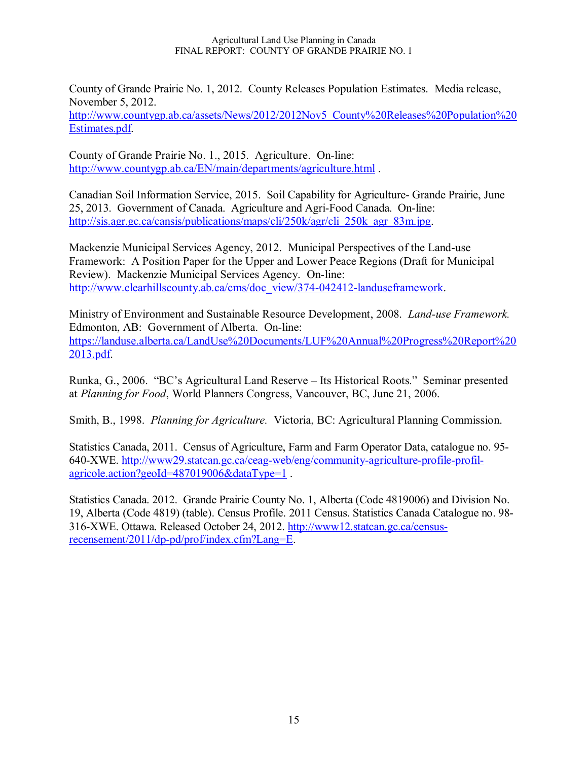#### Agricultural Land Use Planning in Canada FINAL REPORT: COUNTY OF GRANDE PRAIRIE NO. 1

County of Grande Prairie No. 1, 2012. County Releases Population Estimates. Media release, November 5, 2012.

http://www.countygp.ab.ca/assets/News/2012/2012Nov5\_County%20Releases%20Population%20 Estimates.pdf.

County of Grande Prairie No. 1., 2015. Agriculture. On-line: http://www.countygp.ab.ca/EN/main/departments/agriculture.html.

Canadian Soil Information Service, 2015. Soil Capability for Agriculture- Grande Prairie, June 25, 2013. Government of Canada. Agriculture and Agri-Food Canada. On-line: http://sis.agr.gc.ca/cansis/publications/maps/cli/250k/agr/cli\_250k\_agr\_83m.jpg.

Mackenzie Municipal Services Agency, 2012. Municipal Perspectives of the Land-use Framework: A Position Paper for the Upper and Lower Peace Regions (Draft for Municipal Review). Mackenzie Municipal Services Agency. On-line: http://www.clearhillscounty.ab.ca/cms/doc\_view/374-042412-landuseframework.

Ministry of Environment and Sustainable Resource Development, 2008. *Land-use Framework.* Edmonton, AB: Government of Alberta. On-line: https://landuse.alberta.ca/LandUse%20Documents/LUF%20Annual%20Progress%20Report%20 2013.pdf.

Runka, G., 2006. "BC's Agricultural Land Reserve – Its Historical Roots." Seminar presented at *Planning for Food*, World Planners Congress, Vancouver, BC, June 21, 2006.

Smith, B., 1998. *Planning for Agriculture.* Victoria, BC: Agricultural Planning Commission.

Statistics Canada, 2011. Census of Agriculture, Farm and Farm Operator Data, catalogue no. 95- 640-XWE. http://www29.statcan.gc.ca/ceag-web/eng/community-agriculture-profile-profilagricole.action?geoId=487019006&dataType=1 .

Statistics Canada. 2012. Grande Prairie County No. 1, Alberta (Code 4819006) and Division No. 19, Alberta (Code 4819) (table). Census Profile. 2011 Census. Statistics Canada Catalogue no. 98- 316-XWE. Ottawa. Released October 24, 2012. http://www12.statcan.gc.ca/censusrecensement/2011/dp-pd/prof/index.cfm?Lang=E.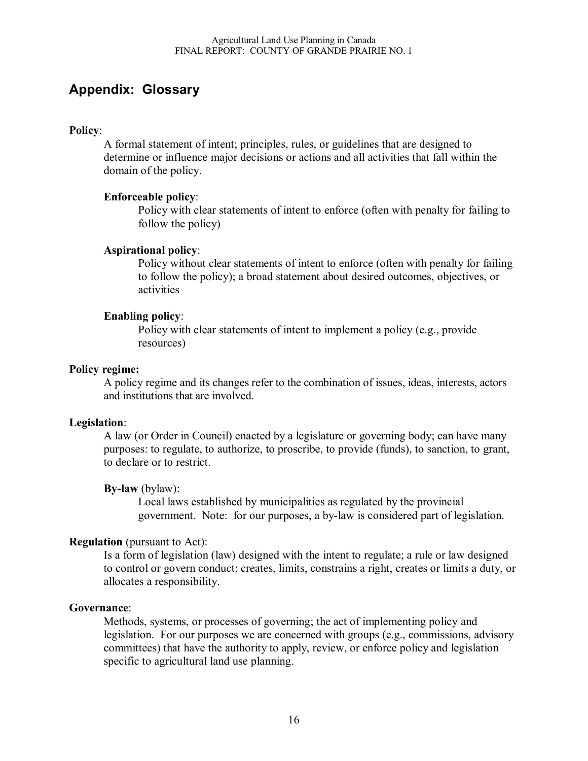# **Appendix: Glossary**

#### **Policy**:

A formal statement of intent; principles, rules, or guidelines that are designed to determine or influence major decisions or actions and all activities that fall within the domain of the policy.

#### **Enforceable policy**:

Policy with clear statements of intent to enforce (often with penalty for failing to follow the policy)

#### **Aspirational policy**:

Policy without clear statements of intent to enforce (often with penalty for failing to follow the policy); a broad statement about desired outcomes, objectives, or activities

#### **Enabling policy**:

Policy with clear statements of intent to implement a policy (e.g., provide resources)

#### **Policy regime:**

A policy regime and its changes refer to the combination of issues, ideas, interests, actors and institutions that are involved.

#### **Legislation**:

A law (or Order in Council) enacted by a legislature or governing body; can have many purposes: to regulate, to authorize, to proscribe, to provide (funds), to sanction, to grant, to declare or to restrict.

#### **By-law** (bylaw):

Local laws established by municipalities as regulated by the provincial government. Note: for our purposes, a by-law is considered part of legislation.

#### **Regulation** (pursuant to Act):

Is a form of legislation (law) designed with the intent to regulate; a rule or law designed to control or govern conduct; creates, limits, constrains a right, creates or limits a duty, or allocates a responsibility.

#### **Governance**:

Methods, systems, or processes of governing; the act of implementing policy and legislation. For our purposes we are concerned with groups (e.g., commissions, advisory committees) that have the authority to apply, review, or enforce policy and legislation specific to agricultural land use planning.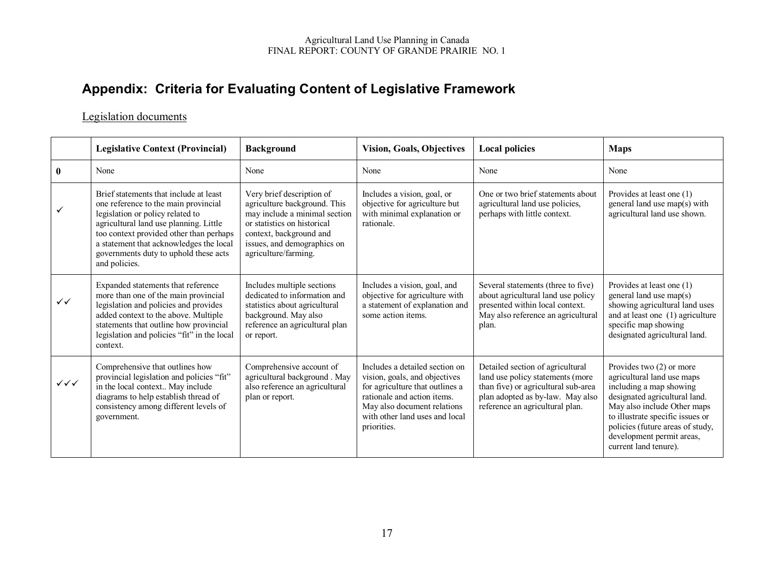# **Appendix: Criteria for Evaluating Content of Legislative Framework**

### Legislation documents

|                        | <b>Legislative Context (Provincial)</b>                                                                                                                                                                                                                                                                      | <b>Background</b>                                                                                                                                                                                           | <b>Vision, Goals, Objectives</b>                                                                                                                                                                                  | <b>Local policies</b>                                                                                                                                                              | <b>Maps</b>                                                                                                                                                                                                                                                                       |
|------------------------|--------------------------------------------------------------------------------------------------------------------------------------------------------------------------------------------------------------------------------------------------------------------------------------------------------------|-------------------------------------------------------------------------------------------------------------------------------------------------------------------------------------------------------------|-------------------------------------------------------------------------------------------------------------------------------------------------------------------------------------------------------------------|------------------------------------------------------------------------------------------------------------------------------------------------------------------------------------|-----------------------------------------------------------------------------------------------------------------------------------------------------------------------------------------------------------------------------------------------------------------------------------|
| $\mathbf{0}$           | None                                                                                                                                                                                                                                                                                                         | None                                                                                                                                                                                                        | None                                                                                                                                                                                                              | None                                                                                                                                                                               | None                                                                                                                                                                                                                                                                              |
| ✓                      | Brief statements that include at least<br>one reference to the main provincial<br>legislation or policy related to<br>agricultural land use planning. Little<br>too context provided other than perhaps<br>a statement that acknowledges the local<br>governments duty to uphold these acts<br>and policies. | Very brief description of<br>agriculture background. This<br>may include a minimal section<br>or statistics on historical<br>context, background and<br>issues, and demographics on<br>agriculture/farming. | Includes a vision, goal, or<br>objective for agriculture but<br>with minimal explanation or<br>rationale.                                                                                                         | One or two brief statements about<br>agricultural land use policies,<br>perhaps with little context.                                                                               | Provides at least one (1)<br>general land use map(s) with<br>agricultural land use shown.                                                                                                                                                                                         |
| $\checkmark$           | Expanded statements that reference<br>more than one of the main provincial<br>legislation and policies and provides<br>added context to the above. Multiple<br>statements that outline how provincial<br>legislation and policies "fit" in the local<br>context.                                             | Includes multiple sections<br>dedicated to information and<br>statistics about agricultural<br>background. May also<br>reference an agricultural plan<br>or report.                                         | Includes a vision, goal, and<br>objective for agriculture with<br>a statement of explanation and<br>some action items.                                                                                            | Several statements (three to five)<br>about agricultural land use policy<br>presented within local context.<br>May also reference an agricultural<br>plan.                         | Provides at least one (1)<br>general land use map(s)<br>showing agricultural land uses<br>and at least one (1) agriculture<br>specific map showing<br>designated agricultural land.                                                                                               |
| $\checkmark\checkmark$ | Comprehensive that outlines how<br>provincial legislation and policies "fit"<br>in the local context May include<br>diagrams to help establish thread of<br>consistency among different levels of<br>government.                                                                                             | Comprehensive account of<br>agricultural background . May<br>also reference an agricultural<br>plan or report.                                                                                              | Includes a detailed section on<br>vision, goals, and objectives<br>for agriculture that outlines a<br>rationale and action items.<br>May also document relations<br>with other land uses and local<br>priorities. | Detailed section of agricultural<br>land use policy statements (more<br>than five) or agricultural sub-area<br>plan adopted as by-law. May also<br>reference an agricultural plan. | Provides two $(2)$ or more<br>agricultural land use maps<br>including a map showing<br>designated agricultural land.<br>May also include Other maps<br>to illustrate specific issues or<br>policies (future areas of study,<br>development permit areas,<br>current land tenure). |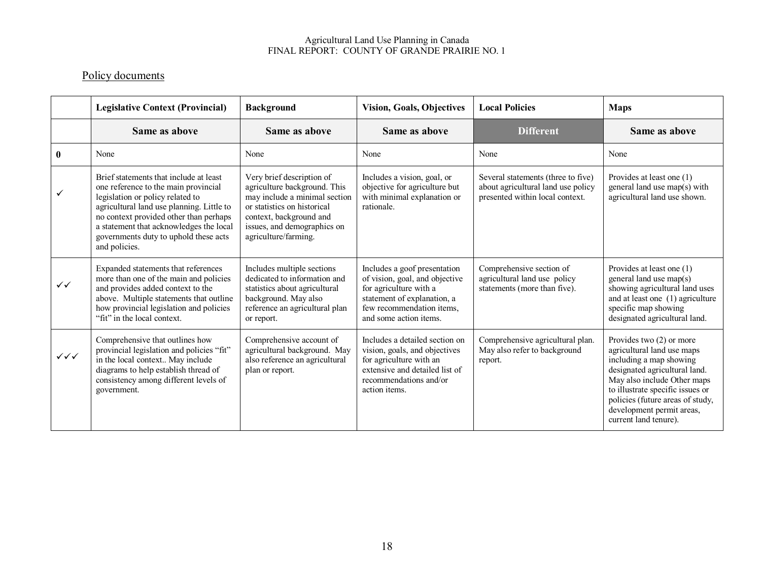#### Agricultural Land Use Planning in Canada FINAL REPORT: COUNTY OF GRANDE PRAIRIE NO. 1

# Policy documents

|                                  | <b>Legislative Context (Provincial)</b>                                                                                                                                                                                                                                                                        | <b>Background</b>                                                                                                                                                                                           | <b>Vision, Goals, Objectives</b>                                                                                                                                               | <b>Local Policies</b>                                                                                       | <b>Maps</b>                                                                                                                                                                                                                                                                     |
|----------------------------------|----------------------------------------------------------------------------------------------------------------------------------------------------------------------------------------------------------------------------------------------------------------------------------------------------------------|-------------------------------------------------------------------------------------------------------------------------------------------------------------------------------------------------------------|--------------------------------------------------------------------------------------------------------------------------------------------------------------------------------|-------------------------------------------------------------------------------------------------------------|---------------------------------------------------------------------------------------------------------------------------------------------------------------------------------------------------------------------------------------------------------------------------------|
|                                  | Same as above                                                                                                                                                                                                                                                                                                  | Same as above                                                                                                                                                                                               | Same as above                                                                                                                                                                  | <b>Different</b>                                                                                            | Same as above                                                                                                                                                                                                                                                                   |
| $\mathbf{0}$                     | None                                                                                                                                                                                                                                                                                                           | None                                                                                                                                                                                                        | None                                                                                                                                                                           | None                                                                                                        | None                                                                                                                                                                                                                                                                            |
|                                  | Brief statements that include at least<br>one reference to the main provincial<br>legislation or policy related to<br>agricultural land use planning. Little to<br>no context provided other than perhaps<br>a statement that acknowledges the local<br>governments duty to uphold these acts<br>and policies. | Very brief description of<br>agriculture background. This<br>may include a minimal section<br>or statistics on historical<br>context, background and<br>issues, and demographics on<br>agriculture/farming. | Includes a vision, goal, or<br>objective for agriculture but<br>with minimal explanation or<br>rationale.                                                                      | Several statements (three to five)<br>about agricultural land use policy<br>presented within local context. | Provides at least one (1)<br>general land use map(s) with<br>agricultural land use shown.                                                                                                                                                                                       |
| $\checkmark$                     | Expanded statements that references<br>more than one of the main and policies<br>and provides added context to the<br>above. Multiple statements that outline<br>how provincial legislation and policies<br>"fit" in the local context.                                                                        | Includes multiple sections<br>dedicated to information and<br>statistics about agricultural<br>background. May also<br>reference an agricultural plan<br>or report.                                         | Includes a goof presentation<br>of vision, goal, and objective<br>for agriculture with a<br>statement of explanation, a<br>few recommendation items,<br>and some action items. | Comprehensive section of<br>agricultural land use policy<br>statements (more than five).                    | Provides at least one (1)<br>general land use map(s)<br>showing agricultural land uses<br>and at least one (1) agriculture<br>specific map showing<br>designated agricultural land.                                                                                             |
| $\checkmark\checkmark\checkmark$ | Comprehensive that outlines how<br>provincial legislation and policies "fit"<br>in the local context May include<br>diagrams to help establish thread of<br>consistency among different levels of<br>government.                                                                                               | Comprehensive account of<br>agricultural background. May<br>also reference an agricultural<br>plan or report.                                                                                               | Includes a detailed section on<br>vision, goals, and objectives<br>for agriculture with an<br>extensive and detailed list of<br>recommendations and/or<br>action items.        | Comprehensive agricultural plan.<br>May also refer to background<br>report.                                 | Provides two (2) or more<br>agricultural land use maps<br>including a map showing<br>designated agricultural land.<br>May also include Other maps<br>to illustrate specific issues or<br>policies (future areas of study,<br>development permit areas,<br>current land tenure). |